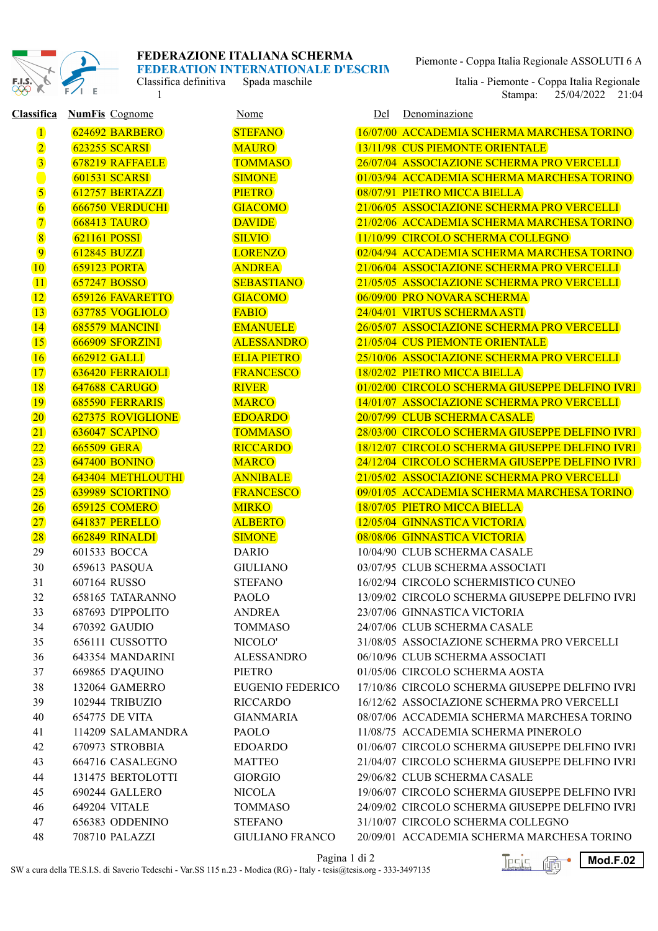

Classifica definitiva Spada maschile

Piemonte - Coppa Italia Regionale ASSOLUTI 6 A

1 Stampa: 25/04/2022 21:04 Italia - Piemonte - Coppa Italia Regionale

| <b>Classifica</b>       | <b>NumFis Cognome</b>    | <b>Nome</b>             | Denominazione<br>Del                           |
|-------------------------|--------------------------|-------------------------|------------------------------------------------|
| $\mathbf 1$             | 624692 BARBERO           | <b>STEFANO</b>          | 16/07/00 ACCADEMIA SCHERMA MARCHESA TORINO     |
| $\overline{2}$          | <b>623255 SCARSI</b>     | <b>MAURO</b>            | 13/11/98 CUS PIEMONTE ORIENTALE                |
| $\overline{3}$          | 678219 RAFFAELE          | <b>TOMMASO</b>          | 26/07/04 ASSOCIAZIONE SCHERMA PRO VERCELLI     |
|                         | <b>601531 SCARSI</b>     | <b>SIMONE</b>           | 01/03/94 ACCADEMIA SCHERMA MARCHESA TORINO     |
| $\overline{\mathbf{5}}$ | 612757 BERTAZZI          | <b>PIETRO</b>           | 08/07/91 PIETRO MICCA BIELLA                   |
| $\overline{6}$          | <b>666750 VERDUCHI</b>   | <b>GIACOMO</b>          | 21/06/05 ASSOCIAZIONE SCHERMA PRO VERCELLI     |
| $\overline{\mathbf{7}}$ | <b>668413 TAURO</b>      | <b>DAVIDE</b>           | 21/02/06 ACCADEMIA SCHERMA MARCHESA TORINO     |
| $\overline{8}$          | <b>621161 POSSI</b>      | <b>SILVIO</b>           | 11/10/99 CIRCOLO SCHERMA COLLEGNO              |
| $\overline{9}$          | <b>612845 BUZZI</b>      | <b>LORENZO</b>          | 02/04/94 ACCADEMIA SCHERMA MARCHESA TORINO     |
| 10                      | <b>659123 PORTA</b>      | <b>ANDREA</b>           | 21/06/04 ASSOCIAZIONE SCHERMA PRO VERCELLI     |
| $\overline{11}$         | 657247 BOSSO             | <b>SEBASTIANO</b>       | 21/05/05 ASSOCIAZIONE SCHERMA PRO VERCELLI     |
| $ 12\rangle$            | 659126 FAVARETTO         | <b>GIACOMO</b>          | 06/09/00 PRO NOVARA SCHERMA                    |
| $\boxed{13}$            | 637785 VOGLIOLO          | <b>FABIO</b>            | 24/04/01 VIRTUS SCHERMA ASTI                   |
| 14                      | 685579 MANCINI           | <b>EMANUELE</b>         | 26/05/07 ASSOCIAZIONE SCHERMA PRO VERCELLI     |
| $\boxed{15}$            | 666909 SFORZINI          | <b>ALESSANDRO</b>       | 21/05/04 CUS PIEMONTE ORIENTALE                |
| 16                      | <b>662912 GALLI</b>      | <b>ELIA PIETRO</b>      | 25/10/06 ASSOCIAZIONE SCHERMA PRO VERCELLI     |
| 17                      | <b>636420 FERRAIOLI</b>  | <b>FRANCESCO</b>        | 18/02/02 PIETRO MICCA BIELLA                   |
| <b>18</b>               | 647688 CARUGO            | <b>RIVER</b>            | 01/02/00 CIRCOLO SCHERMA GIUSEPPE DELFINO IVRI |
| <b>19</b>               | <b>685590 FERRARIS</b>   | <b>MARCO</b>            | 14/01/07 ASSOCIAZIONE SCHERMA PRO VERCELLI     |
| $ 20\rangle$            | 627375 ROVIGLIONE        | <b>EDOARDO</b>          | 20/07/99 CLUB SCHERMA CASALE                   |
| $\boxed{21}$            | 636047 SCAPINO           | <b>TOMMASO</b>          | 28/03/00 CIRCOLO SCHERMA GIUSEPPE DELFINO IVRI |
| $\overline{22}$         | <b>665509 GERA</b>       | <b>RICCARDO</b>         | 18/12/07 CIRCOLO SCHERMA GIUSEPPE DELFINO IVRI |
| $\overline{23}$         | <b>647400 BONINO</b>     | <b>MARCO</b>            | 24/12/04 CIRCOLO SCHERMA GIUSEPPE DELFINO IVRI |
| $\overline{24}$         | <b>643404 METHLOUTHI</b> | <b>ANNIBALE</b>         | 21/05/02 ASSOCIAZIONE SCHERMA PRO VERCELLI     |
| 25                      | 639989 SCIORTINO         | <b>FRANCESCO</b>        | 09/01/05 ACCADEMIA SCHERMA MARCHESA TORINO     |
| 26                      | 659125 COMERO            | <b>MIRKO</b>            | 18/07/05 PIETRO MICCA BIELLA                   |
| $\boxed{27}$            | 641837 PERELLO           | <b>ALBERTO</b>          | 12/05/04 GINNASTICA VICTORIA                   |
| $\boxed{28}$            | 662849 RINALDI           | <b>SIMONE</b>           | 08/08/06 GINNASTICA VICTORIA                   |
| 29                      | 601533 BOCCA             | <b>DARIO</b>            | 10/04/90 CLUB SCHERMA CASALE                   |
| 30                      | 659613 PASQUA            | <b>GIULIANO</b>         | 03/07/95 CLUB SCHERMA ASSOCIATI                |
| 31                      | 607164 RUSSO             | <b>STEFANO</b>          | 16/02/94 CIRCOLO SCHERMISTICO CUNEO            |
| 32                      | 658165 TATARANNO         | <b>PAOLO</b>            | 13/09/02 CIRCOLO SCHERMA GIUSEPPE DELFINO IVRI |
| 33                      | 687693 D'IPPOLITO        | <b>ANDREA</b>           | 23/07/06 GINNASTICA VICTORIA                   |
| 34                      | 670392 GAUDIO            | <b>TOMMASO</b>          | 24/07/06 CLUB SCHERMA CASALE                   |
| 35                      | 656111 CUSSOTTO          | NICOLO'                 | 31/08/05 ASSOCIAZIONE SCHERMA PRO VERCELLI     |
| 36                      | 643354 MANDARINI         | <b>ALESSANDRO</b>       | 06/10/96 CLUB SCHERMA ASSOCIATI                |
| 37                      | 669865 D'AQUINO          | PIETRO                  | 01/05/06 CIRCOLO SCHERMA AOSTA                 |
| 38                      | 132064 GAMERRO           | <b>EUGENIO FEDERICO</b> | 17/10/86 CIRCOLO SCHERMA GIUSEPPE DELFINO IVRI |
| 39                      | 102944 TRIBUZIO          | <b>RICCARDO</b>         | 16/12/62 ASSOCIAZIONE SCHERMA PRO VERCELLI     |
| 40                      | 654775 DE VITA           | <b>GIANMARIA</b>        | 08/07/06 ACCADEMIA SCHERMA MARCHESA TORINO     |
| 41                      | 114209 SALAMANDRA        | PAOLO                   | 11/08/75 ACCADEMIA SCHERMA PINEROLO            |
| 42                      | 670973 STROBBIA          | <b>EDOARDO</b>          | 01/06/07 CIRCOLO SCHERMA GIUSEPPE DELFINO IVRI |
| 43                      | 664716 CASALEGNO         | <b>MATTEO</b>           | 21/04/07 CIRCOLO SCHERMA GIUSEPPE DELFINO IVRI |
| 44                      | 131475 BERTOLOTTI        | <b>GIORGIO</b>          | 29/06/82 CLUB SCHERMA CASALE                   |
| 45                      | 690244 GALLERO           | <b>NICOLA</b>           | 19/06/07 CIRCOLO SCHERMA GIUSEPPE DELFINO IVRI |
| 46                      | 649204 VITALE            | <b>TOMMASO</b>          | 24/09/02 CIRCOLO SCHERMA GIUSEPPE DELFINO IVRI |
| 47                      | 656383 ODDENINO          | <b>STEFANO</b>          | 31/10/07 CIRCOLO SCHERMA COLLEGNO              |
| 48                      | 708710 PALAZZI           | <b>GIULIANO FRANCO</b>  | 20/09/01 ACCADEMIA SCHERMA MARCHESA TORINO     |

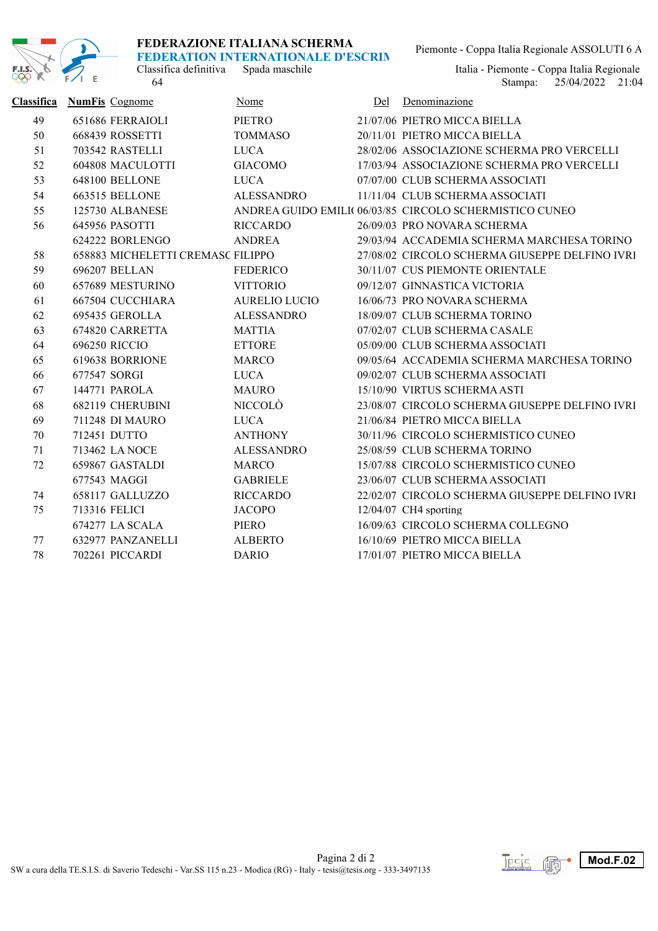

## **FEDERAZIONE ITALIANA SCHERMA**

**FEDERATION INTERNATIONALE D'ESCRIM** 

Classifica definitiva Spada maschile<br>64

Piemonte - Coppa Italia Regionale ASSOLUTI 6 A

25/04/2022 Stampa: 21:04 Italia - Piemonte - Coppa Italia Regionale<br>Stampa: 25/04/2022 21:04

| Classifica | <b>NumFis</b> Cognome             | Nome                 | Del | Denominazione                                           |
|------------|-----------------------------------|----------------------|-----|---------------------------------------------------------|
| 49         | 651686 FERRAIOLI                  | PIETRO               |     | 21/07/06 PIETRO MICCA BIELLA                            |
| 50         | 668439 ROSSETTI                   | <b>TOMMASO</b>       |     | 20/11/01 PIETRO MICCA BIELLA                            |
| 51         | 703542 RASTELLI                   | <b>LUCA</b>          |     | 28/02/06 ASSOCIAZIONE SCHERMA PRO VERCELLI              |
| 52         | 604808 MACULOTTI                  | <b>GIACOMO</b>       |     | 17/03/94 ASSOCIAZIONE SCHERMA PRO VERCELLI              |
| 53         | <b>648100 BELLONE</b>             | <b>LUCA</b>          |     | 07/07/00 CLUB SCHERMA ASSOCIATI                         |
| 54         | 663515 BELLONE                    | <b>ALESSANDRO</b>    |     | 11/11/04 CLUB SCHERMA ASSOCIATI                         |
| 55         | 125730 ALBANESE                   |                      |     | ANDREA GUIDO EMILI( 06/03/85 CIRCOLO SCHERMISTICO CUNEO |
| 56         | 645956 PASOTTI                    | <b>RICCARDO</b>      |     | 26/09/03 PRO NOVARA SCHERMA                             |
|            | 624222 BORLENGO                   | <b>ANDREA</b>        |     | 29/03/94 ACCADEMIA SCHERMA MARCHESA TORINO              |
| 58         | 658883 MICHELETTI CREMASC FILIPPO |                      |     | 27/08/02 CIRCOLO SCHERMA GIUSEPPE DELFINO IVRI          |
| 59         | 696207 BELLAN                     | FEDERICO             |     | 30/11/07 CUS PIEMONTE ORIENTALE                         |
| 60         | 657689 MESTURINO                  | <b>VITTORIO</b>      |     | 09/12/07 GINNASTICA VICTORIA                            |
| 61         | 667504 CUCCHIARA                  | <b>AURELIO LUCIO</b> |     | 16/06/73 PRO NOVARA SCHERMA                             |
| 62         | 695435 GEROLLA                    | <b>ALESSANDRO</b>    |     | 18/09/07 CLUB SCHERMA TORINO                            |
| 63         | 674820 CARRETTA                   | <b>MATTIA</b>        |     | 07/02/07 CLUB SCHERMA CASALE                            |
| 64         | 696250 RICCIO                     | <b>ETTORE</b>        |     | 05/09/00 CLUB SCHERMA ASSOCIATI                         |
| 65         | 619638 BORRIONE                   | <b>MARCO</b>         |     | 09/05/64 ACCADEMIA SCHERMA MARCHESA TORINO              |
| 66         | 677547 SORGI                      | <b>LUCA</b>          |     | 09/02/07 CLUB SCHERMA ASSOCIATI                         |
| 67         | 144771 PAROLA                     | <b>MAURO</b>         |     | 15/10/90 VIRTUS SCHERMA ASTI                            |
| 68         | 682119 CHERUBINI                  | NICCOLÒ              |     | 23/08/07 CIRCOLO SCHERMA GIUSEPPE DELFINO IVRI          |
| 69         | 711248 DI MAURO                   | <b>LUCA</b>          |     | 21/06/84 PIETRO MICCA BIELLA                            |
| 70         | 712451 DUTTO                      | <b>ANTHONY</b>       |     | 30/11/96 CIRCOLO SCHERMISTICO CUNEO                     |
| 71         | 713462 LA NOCE                    | <b>ALESSANDRO</b>    |     | 25/08/59 CLUB SCHERMA TORINO                            |
| 72         | 659867 GASTALDI                   | <b>MARCO</b>         |     | 15/07/88 CIRCOLO SCHERMISTICO CUNEO                     |
|            | 677543 MAGGI                      | <b>GABRIELE</b>      |     | 23/06/07 CLUB SCHERMA ASSOCIATI                         |
| 74         | 658117 GALLUZZO                   | <b>RICCARDO</b>      |     | 22/02/07 CIRCOLO SCHERMA GIUSEPPE DELFINO IVRI          |
| 75         | 713316 FELICI                     | <b>JACOPO</b>        |     | $12/04/07$ CH4 sporting                                 |
|            | 674277 LA SCALA                   | PIERO                |     | 16/09/63 CIRCOLO SCHERMA COLLEGNO                       |
| 77         | 632977 PANZANELLI                 | <b>ALBERTO</b>       |     | 16/10/69 PIETRO MICCA BIELLA                            |
| 78         | 702261 PICCARDI                   | <b>DARIO</b>         |     | 17/01/07 PIETRO MICCA BIELLA                            |

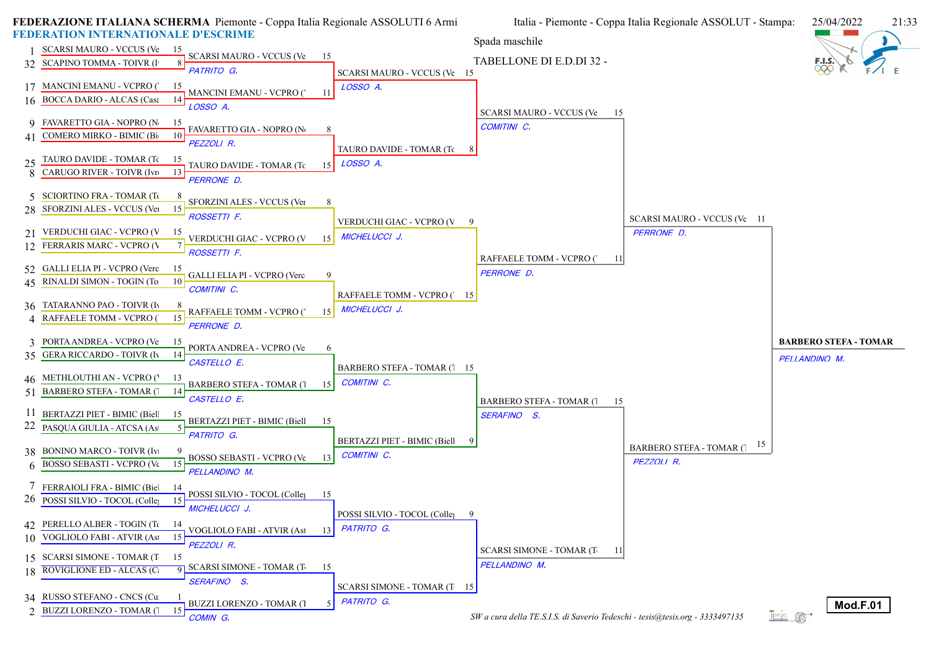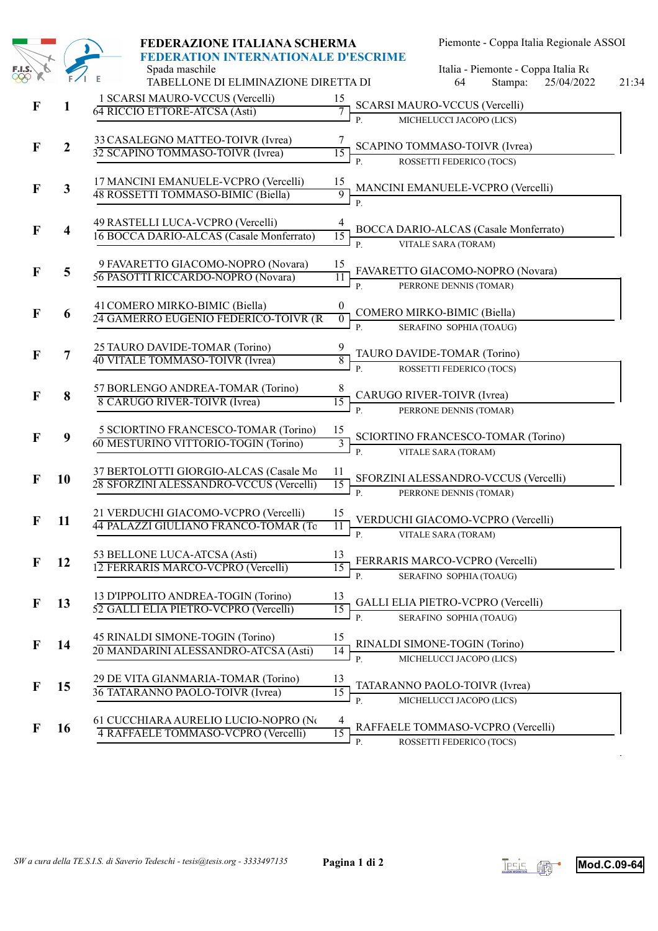|              |                         | FEDERAZIONE ITALIANA SCHERMA                                                                  | Piemonte - Coppa Italia Regionale ASSOI                                                                     |
|--------------|-------------------------|-----------------------------------------------------------------------------------------------|-------------------------------------------------------------------------------------------------------------|
|              |                         | FEDERATION INTERNATIONALE D'ESCRIME<br>Spada maschile<br>TABELLONE DI ELIMINAZIONE DIRETTA DI | Italia - Piemonte - Coppa Italia Re<br>25/04/2022<br>64<br>Stampa:<br>21:34                                 |
| $\mathbf{F}$ | $\mathbf{1}$            | 1 SCARSI MAURO-VCCUS (Vercelli)<br>64 RICCIO ETTORE-ATCSA (Asti)                              | 15<br><b>SCARSI MAURO-VCCUS (Vercelli)</b><br>MICHELUCCI JACOPO (LICS)<br>$\overline{P}$ .                  |
| $\mathbf{F}$ | $\boldsymbol{2}$        | 33 CASALEGNO MATTEO-TOIVR (Ivrea)<br>32 SCAPINO TOMMASO-TOIVR (Ivrea)                         | SCAPINO TOMMASO-TOIVR (Ivrea)<br>15<br>ROSSETTI FEDERICO (TOCS)                                             |
| F            | $\mathbf{3}$            | 17 MANCINI EMANUELE-VCPRO (Vercelli)<br>48 ROSSETTI TOMMASO-BIMIC (Biella)                    | $\mathbf{p}$<br>$\frac{15}{9}$<br>MANCINI EMANUELE-VCPRO (Vercelli)<br>$\mathbf{P}$                         |
| F            | $\overline{\mathbf{4}}$ | 49 RASTELLI LUCA-VCPRO (Vercelli)<br>16 BOCCA DARIO-ALCAS (Casale Monferrato)                 | 4<br><b>BOCCA DARIO-ALCAS (Casale Monferrato)</b><br>15<br>VITALE SARA (TORAM)<br>$P_{\cdot}$               |
| F            | 5                       | 9 FAVARETTO GIACOMO-NOPRO (Novara)<br>56 PASOTTI RICCARDO-NOPRO (Novara)                      | 15<br>FAVARETTO GIACOMO-NOPRO (Novara)<br>$\overline{11}$<br>P.<br>PERRONE DENNIS (TOMAR)                   |
| $\mathbf F$  | 6                       | 41 COMERO MIRKO-BIMIC (Biella)<br>24 GAMERRO EUGENIO FEDERICO-TOIVR (R                        | $\boldsymbol{0}$<br>COMERO MIRKO-BIMIC (Biella)<br>$\overline{0}$<br>SERAFINO SOPHIA (TOAUG)<br>$P_{\cdot}$ |
| F            | 7                       | 25 TAURO DAVIDE-TOMAR (Torino)<br>40 VITALE TOMMASO-TOIVR (Ivrea)                             | TAURO DAVIDE-TOMAR (Torino)<br>8<br>$\overline{P}$ .<br>ROSSETTI FEDERICO (TOCS)                            |
| F            | 8                       | 57 BORLENGO ANDREA-TOMAR (Torino)<br>8 CARUGO RIVER-TOIVR (Ivrea)                             | 8<br>CARUGO RIVER-TOIVR (Ivrea)<br>15<br>PERRONE DENNIS (TOMAR)<br>$\mathbf{P}$                             |
| $\mathbf F$  | $\boldsymbol{9}$        | 5 SCIORTINO FRANCESCO-TOMAR (Torino)<br>60 MESTURINO VITTORIO-TOGIN (Torino)                  | 15<br>SCIORTINO FRANCESCO-TOMAR (Torino)<br>$\overline{3}$<br>$P_{\cdot}$<br>VITALE SARA (TORAM)            |
| F            | 10                      | 37 BERTOLOTTI GIORGIO-ALCAS (Casale Mo<br>28 SFORZINI ALESSANDRO-VCCUS (Vercelli)             | 11<br>SFORZINI ALESSANDRO-VCCUS (Vercelli)<br>15<br>$\overline{P}$ .<br>PERRONE DENNIS (TOMAR)              |
| F            | 11                      | 21 VERDUCHI GIACOMO-VCPRO (Vercelli)<br>44 PALAZZI GIULIANO FRANCO-TOMAR (To                  | 15<br>VERDUCHI GIACOMO-VCPRO (Vercelli)<br>$\frac{1}{11}$<br>VITALE SARA (TORAM)                            |
| F            | 12                      | 53 BELLONE LUCA-ATCSA (Asti)<br>12 FERRARIS MARCO-VCPRO (Vercelli)                            | 13<br>FERRARIS MARCO-VCPRO (Vercelli)<br>15<br>SERAFINO SOPHIA (TOAUG)<br>$P_{1}$                           |
| $\mathbf F$  | 13                      | 13 D'IPPOLITO ANDREA-TOGIN (Torino)<br>52 GALLI ELIA PIETRO-VCPRO (Vercelli)                  | 13<br>GALLI ELIA PIETRO-VCPRO (Vercelli)<br>15<br>$P_{\cdot}$<br>SERAFINO SOPHIA (TOAUG)                    |
| F            | 14                      | 45 RINALDI SIMONE-TOGIN (Torino)<br>20 MANDARINI ALESSANDRO-ATCSA (Asti)                      | 15<br>RINALDI SIMONE-TOGIN (Torino)<br>14<br>MICHELUCCI JACOPO (LICS)<br>$P_{1}$                            |
| F            | 15                      | 29 DE VITA GIANMARIA-TOMAR (Torino)<br>36 TATARANNO PAOLO-TOIVR (Ivrea)                       | 13<br>TATARANNO PAOLO-TOIVR (Ivrea)<br>15<br>MICHELUCCI JACOPO (LICS)<br><b>P.</b>                          |
| $\mathbf F$  | <b>16</b>               | 61 CUCCHIARA AURELIO LUCIO-NOPRO (No<br>4 RAFFAELE TOMMASO-VCPRO (Vercelli)                   | 4<br>RAFFAELE TOMMASO-VCPRO (Vercelli)<br>15<br>P.<br>ROSSETTI FEDERICO (TOCS)                              |



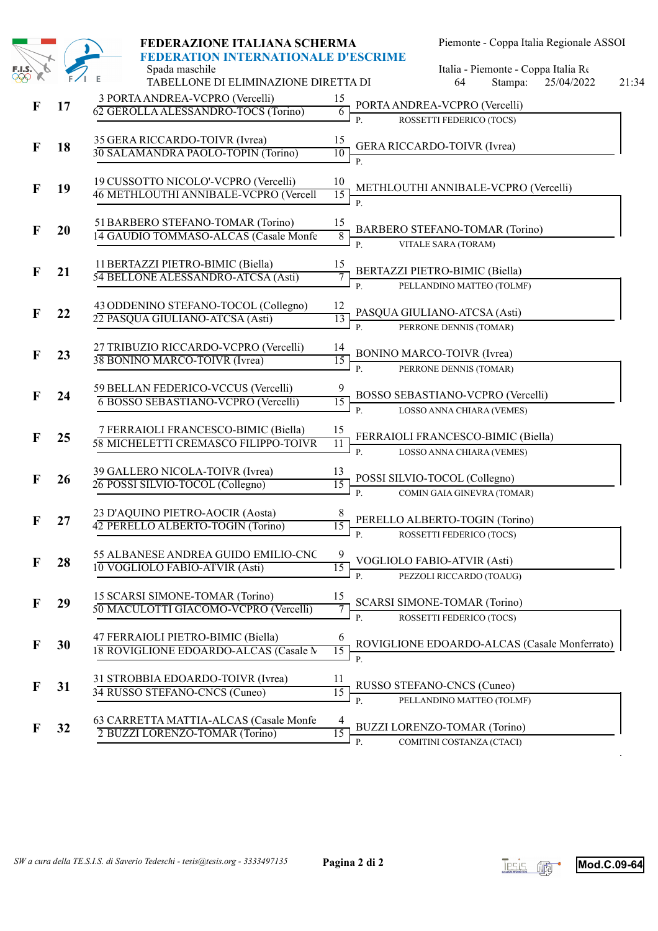|                      |    | FEDERAZIONE ITALIANA SCHERMA                                                                  |                                                               | Piemonte - Coppa Italia Regionale ASSOI                                  |       |
|----------------------|----|-----------------------------------------------------------------------------------------------|---------------------------------------------------------------|--------------------------------------------------------------------------|-------|
| <b>F.I.S.</b><br>COO |    | FEDERATION INTERNATIONALE D'ESCRIME<br>Spada maschile<br>TABELLONE DI ELIMINAZIONE DIRETTA DI |                                                               | Italia - Piemonte - Coppa Italia Re<br>25/04/2022<br>64<br>Stampa:       | 21:34 |
| $\mathbf F$          | 17 | 3 PORTA ANDREA-VCPRO (Vercelli)<br>62 GEROLLA ALESSANDRO-TOCS (Torino)                        | 15<br>$\overline{6}$                                          | PORTA ANDREA-VCPRO (Vercelli)                                            |       |
|                      |    |                                                                                               | $P$ .                                                         | ROSSETTI FEDERICO (TOCS)                                                 |       |
| $\mathbf F$          | 18 | 35 GERA RICCARDO-TOIVR (Ivrea)<br>30 SALAMANDRA PAOLO-TOPIN (Torino)                          | 15<br>10                                                      | <b>GERA RICCARDO-TOIVR (Ivrea)</b>                                       |       |
|                      |    |                                                                                               | $\mathbf{P}$                                                  |                                                                          |       |
| $\mathbf F$          | 19 | 19 CUSSOTTO NICOLO'-VCPRO (Vercelli)<br>46 METHLOUTHI ANNIBALE-VCPRO (Vercell                 | 10<br>15<br>$P$ .                                             | METHLOUTHI ANNIBALE-VCPRO (Vercelli)                                     |       |
| F                    | 20 | 51 BARBERO STEFANO-TOMAR (Torino)                                                             | 15                                                            | BARBERO STEFANO-TOMAR (Torino)                                           |       |
|                      |    | 14 GAUDIO TOMMASO-ALCAS (Casale Monfe                                                         | 8<br>$P_{\perp}$                                              | VITALE SARA (TORAM)                                                      |       |
| $\mathbf F$          | 21 | 11 BERTAZZI PIETRO-BIMIC (Biella)<br>54 BELLONE ALESSANDRO-ATCSA (Asti)                       | 15<br>7                                                       | BERTAZZI PIETRO-BIMIC (Biella)                                           |       |
|                      |    |                                                                                               | P.                                                            | PELLANDINO MATTEO (TOLMF)                                                |       |
| $\mathbf F$          | 22 | 43 ODDENINO STEFANO-TOCOL (Collegno)<br>22 PASQUA GIULIANO-ATCSA (Asti)                       | 12<br>13<br>$P_{1}$                                           | PASQUA GIULIANO-ATCSA (Asti)<br>PERRONE DENNIS (TOMAR)                   |       |
|                      |    |                                                                                               |                                                               |                                                                          |       |
| $\mathbf F$          | 23 | 27 TRIBUZIO RICCARDO-VCPRO (Vercelli)<br>38 BONINO MARCO-TOIVR (Ivrea)                        | 14<br><b>BONINO MARCO-TOIVR (Ivrea)</b><br>15<br>$\mathbf{P}$ | PERRONE DENNIS (TOMAR)                                                   |       |
|                      |    |                                                                                               |                                                               |                                                                          |       |
| F                    | 24 | 59 BELLAN FEDERICO-VCCUS (Vercelli)<br>6 BOSSO SEBASTIANO-VCPRO (Vercelli)                    | 9<br>15<br>$\mathbf{P}$                                       | BOSSO SEBASTIANO-VCPRO (Vercelli)<br>LOSSO ANNA CHIARA (VEMES)           |       |
| $\mathbf F$          | 25 | 7 FERRAIOLI FRANCESCO-BIMIC (Biella)<br>58 MICHELETTI CREMASCO FILIPPO-TOIVR                  | 15<br>11<br>$P_{\cdot}$                                       | FERRAIOLI FRANCESCO-BIMIC (Biella)                                       |       |
| $\mathbf F$          | 26 | 39 GALLERO NICOLA-TOIVR (Ivrea)                                                               | 13                                                            | LOSSO ANNA CHIARA (VEMES)<br>POSSI SILVIO-TOCOL (Collegno)               |       |
|                      |    | 26 POSSI SILVIO-TOCOL (Collegno)                                                              | 15<br>$P_{\perp}$                                             | COMIN GAIA GINEVRA (TOMAR)                                               |       |
| F                    | 27 | 23 D'AQUINO PIETRO-AOCIR (Aosta)<br>42 PERELLO ALBERTO-TOGIN (Torino)                         | 8<br>$\overline{15}$                                          | PERELLO ALBERTO-TOGIN (Torino)                                           |       |
|                      |    |                                                                                               | $\frac{15}{\pi}$ p.                                           | ROSSETTI FEDERICO (TOCS)                                                 |       |
| F                    | 28 | 55 ALBANESE ANDREA GUIDO EMILIO-CNC<br>10 VOGLIOLO FABIO-ATVIR (Asti)                         | 9<br>VOGLIOLO FABIO-ATVIR (Asti)<br>15<br>$P$ .               | PEZZOLI RICCARDO (TOAUG)                                                 |       |
| F                    | 29 | 15 SCARSI SIMONE-TOMAR (Torino)<br>50 MACULOTTI GIACOMO-VCPRO (Vercelli)                      | 15<br>7                                                       | <b>SCARSI SIMONE-TOMAR (Torino)</b>                                      |       |
| F                    | 30 | 47 FERRAIOLI PIETRO-BIMIC (Biella)<br>18 ROVIGLIONE EDOARDO-ALCAS (Casale M                   | P.<br>6<br>15                                                 | ROSSETTI FEDERICO (TOCS)<br>ROVIGLIONE EDOARDO-ALCAS (Casale Monferrato) |       |
| F                    | 31 | 31 STROBBIA EDOARDO-TOIVR (Ivrea)<br>34 RUSSO STEFANO-CNCS (Cuneo)                            | $P$ .<br>11<br>15                                             | RUSSO STEFANO-CNCS (Cuneo)                                               |       |
| F                    | 32 | 63 CARRETTA MATTIA-ALCAS (Casale Monfe<br>2 BUZZI LORENZO-TOMAR (Torino)                      | P.<br>4<br>15                                                 | PELLANDINO MATTEO (TOLMF)<br><b>BUZZI LORENZO-TOMAR (Torino)</b>         |       |
|                      |    |                                                                                               | P.                                                            | COMITINI COSTANZA (CTACI)                                                |       |



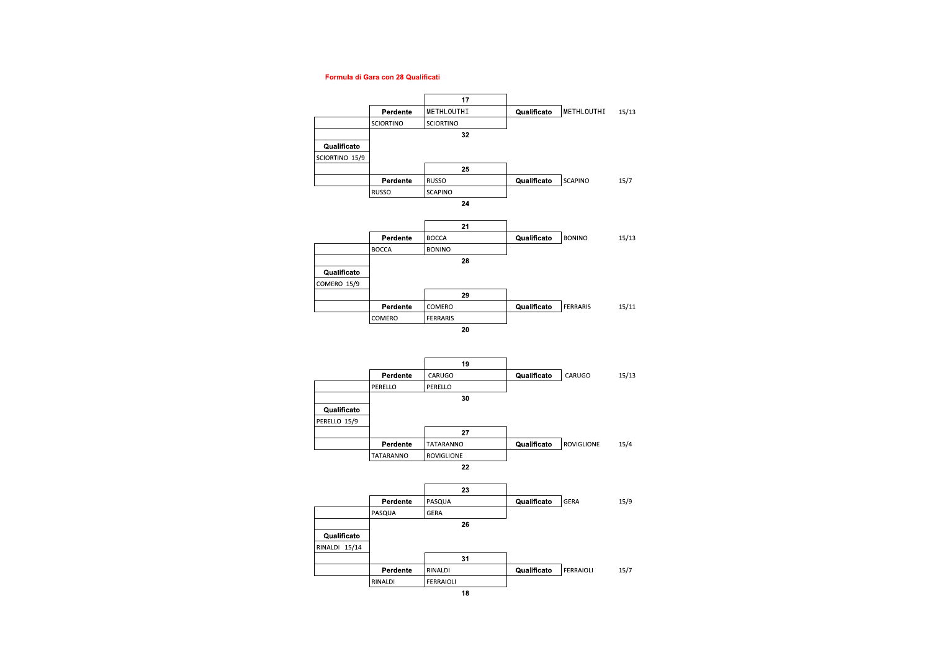#### Formula di Gara con 28 Qualificati



 $\overline{18}$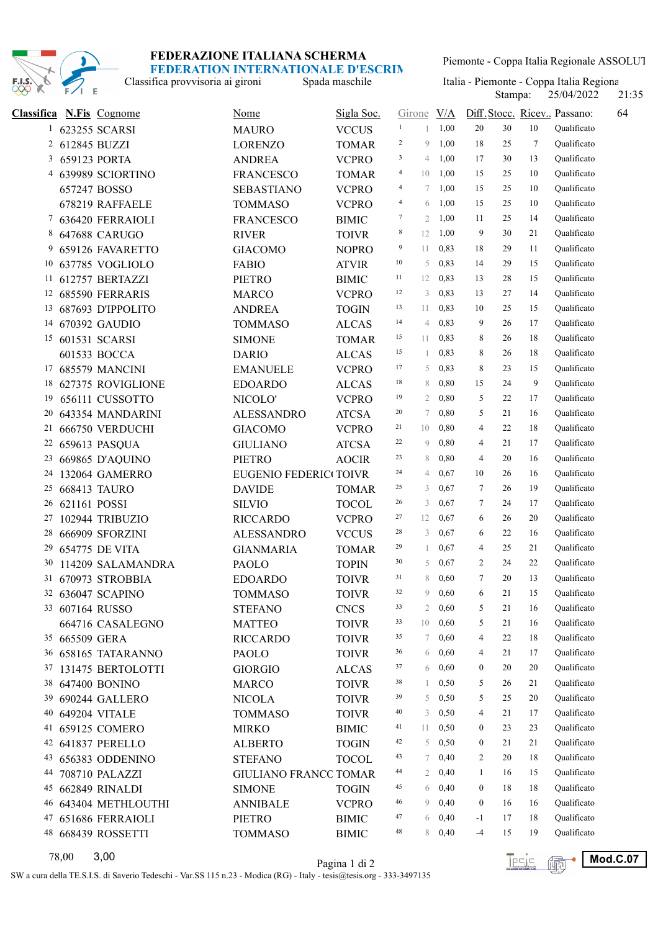

Piemonte - Coppa Italia Regionale ASSOLUT

Classifica provvisoria ai gironi

Stampa: 25/04/2022 21:35 Spada maschile Italia - Piemonte - Coppa Italia Regionale

| <b>Classifica</b> |                | <b>N.Fis</b> Cognome | <b>Nome</b>                  | Sigla Soc.   | Girone V/A     |                |       |                |    |    | Diff. Stocc. Ricev Passano: | 64 |
|-------------------|----------------|----------------------|------------------------------|--------------|----------------|----------------|-------|----------------|----|----|-----------------------------|----|
|                   |                | 1 623255 SCARSI      | <b>MAURO</b>                 | <b>VCCUS</b> | $\mathbf{1}$   | 1              | 1,00  | 20             | 30 | 10 | Qualificato                 |    |
|                   | 2 612845 BUZZI |                      | <b>LORENZO</b>               | <b>TOMAR</b> | $\overline{c}$ | 9              | 1,00  | 18             | 25 | 7  | Qualificato                 |    |
| 3                 |                | 659123 PORTA         | <b>ANDREA</b>                | <b>VCPRO</b> | 3              | 4              | 1,00  | 17             | 30 | 13 | Qualificato                 |    |
| 4                 |                | 639989 SCIORTINO     | <b>FRANCESCO</b>             | <b>TOMAR</b> | $\overline{4}$ | 10             | 1,00  | 15             | 25 | 10 | Oualificato                 |    |
|                   |                | 657247 BOSSO         | <b>SEBASTIANO</b>            | <b>VCPRO</b> | $\overline{4}$ | 7              | 1,00  | 15             | 25 | 10 | Qualificato                 |    |
|                   |                | 678219 RAFFAELE      | <b>TOMMASO</b>               | <b>VCPRO</b> | $\overline{4}$ | 6              | 1,00  | 15             | 25 | 10 | Qualificato                 |    |
| 7                 |                | 636420 FERRAIOLI     | <b>FRANCESCO</b>             | <b>BIMIC</b> | 7              | $\overline{2}$ | 1,00  | 11             | 25 | 14 | Qualificato                 |    |
|                   |                | 8 647688 CARUGO      | <b>RIVER</b>                 | <b>TOIVR</b> | 8              | 12             | 1,00  | 9              | 30 | 21 | Qualificato                 |    |
|                   |                | 9 659126 FAVARETTO   | <b>GIACOMO</b>               | <b>NOPRO</b> | 9              | 11             | 0,83  | 18             | 29 | 11 | Qualificato                 |    |
| 10                |                | 637785 VOGLIOLO      | <b>FABIO</b>                 | <b>ATVIR</b> | 10             | 5              | 0,83  | 14             | 29 | 15 | Qualificato                 |    |
| 11                |                | 612757 BERTAZZI      | <b>PIETRO</b>                | <b>BIMIC</b> | 11             | 12             | 0,83  | 13             | 28 | 15 | Qualificato                 |    |
|                   |                | 12 685590 FERRARIS   | <b>MARCO</b>                 | <b>VCPRO</b> | 12             | 3              | 0,83  | 13             | 27 | 14 | Qualificato                 |    |
|                   |                | 13 687693 D'IPPOLITO | <b>ANDREA</b>                | <b>TOGIN</b> | 13             | 11             | 0,83  | 10             | 25 | 15 | Qualificato                 |    |
|                   |                | 14 670392 GAUDIO     | <b>TOMMASO</b>               | <b>ALCAS</b> | 14             | 4              | 0,83  | 9              | 26 | 17 | Qualificato                 |    |
|                   |                | 15 601531 SCARSI     | <b>SIMONE</b>                | <b>TOMAR</b> | 15             | 11             | 0,83  | 8              | 26 | 18 | Qualificato                 |    |
|                   |                | 601533 BOCCA         | <b>DARIO</b>                 | <b>ALCAS</b> | 15             | 1              | 0,83  | 8              | 26 | 18 | Qualificato                 |    |
|                   |                | 17 685579 MANCINI    | <b>EMANUELE</b>              | <b>VCPRO</b> | 17             | 5              | 0,83  | 8              | 23 | 15 | Qualificato                 |    |
| 18                |                | 627375 ROVIGLIONE    | <b>EDOARDO</b>               | <b>ALCAS</b> | 18             | 8              | 0,80  | 15             | 24 | 9  | Qualificato                 |    |
| 19                |                | 656111 CUSSOTTO      | NICOLO'                      | <b>VCPRO</b> | 19             | $\mathfrak{2}$ | 0,80  | 5              | 22 | 17 | Qualificato                 |    |
| 20                |                | 643354 MANDARINI     | <b>ALESSANDRO</b>            | <b>ATCSA</b> | 20             | 7              | 0,80  | 5              | 21 | 16 | Qualificato                 |    |
| 21                |                | 666750 VERDUCHI      | <b>GIACOMO</b>               | <b>VCPRO</b> | 21             | 10             | 0,80  | $\overline{4}$ | 22 | 18 | Qualificato                 |    |
| 22                |                | 659613 PASQUA        | <b>GIULIANO</b>              | <b>ATCSA</b> | 22             | 9              | 0,80  | 4              | 21 | 17 | Qualificato                 |    |
| 23                |                | 669865 D'AQUINO      | <b>PIETRO</b>                | <b>AOCIR</b> | 23             | 8              | 0,80  | 4              | 20 | 16 | Qualificato                 |    |
| 24                |                | 132064 GAMERRO       | EUGENIO FEDERIC TOIVR        |              | 24             | 4              | 0,67  | 10             | 26 | 16 | Qualificato                 |    |
| 25                |                | 668413 TAURO         | <b>DAVIDE</b>                | <b>TOMAR</b> | 25             | 3              | 0,67  | 7              | 26 | 19 | Qualificato                 |    |
| 26                | 621161 POSSI   |                      | <b>SILVIO</b>                | <b>TOCOL</b> | 26             | 3              | 0,67  | 7              | 24 | 17 | Qualificato                 |    |
| 27                |                | 102944 TRIBUZIO      | <b>RICCARDO</b>              | <b>VCPRO</b> | 27             | 12             | 0,67  | 6              | 26 | 20 | Qualificato                 |    |
| 28                |                | 666909 SFORZINI      | <b>ALESSANDRO</b>            | <b>VCCUS</b> | 28             | 3              | 0,67  | 6              | 22 | 16 | Qualificato                 |    |
| 29                |                | 654775 DE VITA       | <b>GIANMARIA</b>             | <b>TOMAR</b> | 29             | 1              | 0,67  | 4              | 25 | 21 | Qualificato                 |    |
| 30                |                | 114209 SALAMANDRA    | <b>PAOLO</b>                 | <b>TOPIN</b> | 30             | 5              | 0,67  | 2              | 24 | 22 | Qualificato                 |    |
| 31                |                | 670973 STROBBIA      | <b>EDOARDO</b>               | <b>TOIVR</b> | 31             | 8              | 0,60  | 7              | 20 | 13 | Qualificato                 |    |
|                   |                | 32 636047 SCAPINO    | <b>TOMMASO</b>               | <b>TOIVR</b> | 32             | 9              | 0,60  | 6              | 21 | 15 | Qualificato                 |    |
|                   |                | 33 607164 RUSSO      | <b>STEFANO</b>               | <b>CNCS</b>  | 33             | 2              | 0,60  | 5              | 21 | 16 | Qualificato                 |    |
|                   |                | 664716 CASALEGNO     | <b>MATTEO</b>                | <b>TOIVR</b> | 33             | 10             | 0,60  | 5              | 21 | 16 | Oualificato                 |    |
|                   | 35 665509 GERA |                      | <b>RICCARDO</b>              | <b>TOIVR</b> | 35             | 7              | 0,60  | 4              | 22 | 18 | Qualificato                 |    |
|                   |                | 36 658165 TATARANNO  | PAOLO                        | <b>TOIVR</b> | 36             | 6              | 0,60  | 4              | 21 | 17 | Qualificato                 |    |
| 37                |                | 131475 BERTOLOTTI    | <b>GIORGIO</b>               | <b>ALCAS</b> | 37             | 6              | 0,60  | $\bf{0}$       | 20 | 20 | Qualificato                 |    |
|                   |                | 38 647400 BONINO     | <b>MARCO</b>                 | <b>TOIVR</b> | 38             | 1              | 0,50  | 5              | 26 | 21 | Qualificato                 |    |
|                   |                | 39 690244 GALLERO    | <b>NICOLA</b>                | <b>TOIVR</b> | 39             | 5              | 0,50  | 5              | 25 | 20 | Qualificato                 |    |
|                   |                | 40 649204 VITALE     | <b>TOMMASO</b>               | <b>TOIVR</b> | 40             | 3              | 0,50  | 4              | 21 | 17 | Qualificato                 |    |
|                   |                | 41 659125 COMERO     | <b>MIRKO</b>                 | <b>BIMIC</b> | 41             | 11             | 0,50  | $\bf{0}$       | 23 | 23 | Qualificato                 |    |
|                   |                | 42 641837 PERELLO    | <b>ALBERTO</b>               | <b>TOGIN</b> | 42             | 5              | 0,50  | $\bf{0}$       | 21 | 21 | Oualificato                 |    |
|                   |                | 43 656383 ODDENINO   | <b>STEFANO</b>               | <b>TOCOL</b> | 43             | 7              | 0,40  | 2              | 20 | 18 | Qualificato                 |    |
| 44                |                | 708710 PALAZZI       | <b>GIULIANO FRANCC TOMAR</b> |              | 44             | 2              | 0,40  | 1              | 16 | 15 | Qualificato                 |    |
|                   |                | 45 662849 RINALDI    | <b>SIMONE</b>                | <b>TOGIN</b> | 45             | 6              | 0,40  | $\bf{0}$       | 18 | 18 | Qualificato                 |    |
|                   |                | 46 643404 METHLOUTHI | <b>ANNIBALE</b>              | <b>VCPRO</b> | 46             | 9              | 0,40  | $\bf{0}$       | 16 | 16 | Qualificato                 |    |
|                   |                | 47 651686 FERRAIOLI  | PIETRO                       | <b>BIMIC</b> | 47             | 6              | 0,40  | -1             | 17 | 18 | Qualificato                 |    |
|                   |                | 48 668439 ROSSETTI   | <b>TOMMASO</b>               | <b>BIMIC</b> | 48             |                | 80,40 | $-4$           | 15 | 19 | Qualificato                 |    |

Pagina 1 di 2 78,00

**Tesis ( Mod.C.07** 

SW a cura della TE.S.I.S. di Saverio Tedeschi - Var.SS 115 n.23 - Modica (RG) - Italy - tesis@tesis.org - 333-3497135

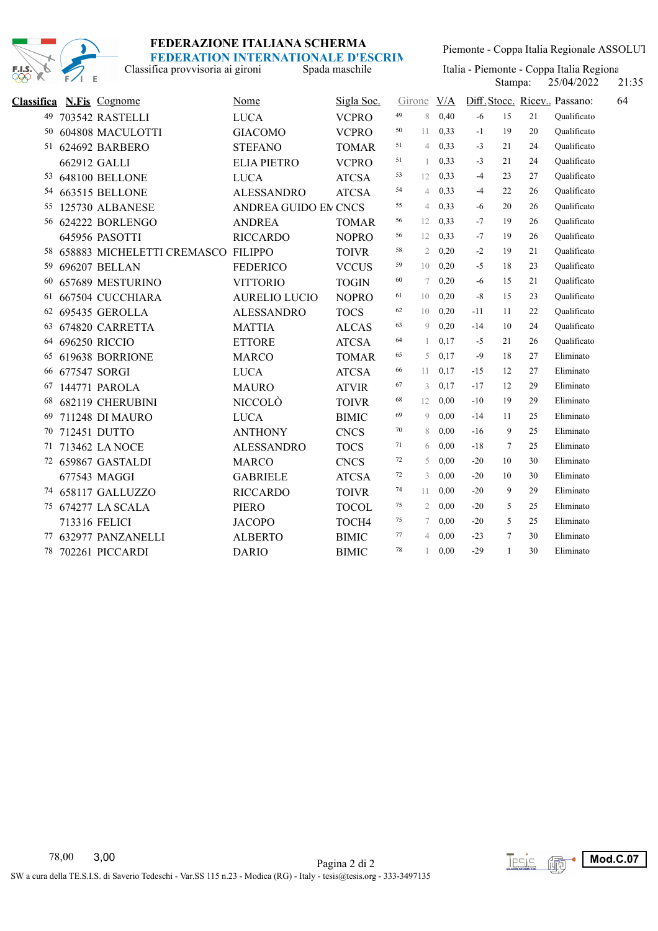

Classifica provvisoria ai gironi

Piemonte - Coppa Italia Regionale ASSOLUT

Spada maschile Italia - Piemonte - Coppa Italia Regionale Stampa: 25/04/2022

Stampa: 25/04/2022 21:35

| Classifica | <b>N.Fis</b> Cognome       | <b>Nome</b>                 | Sigla Soc.   | Girone |                | V/A  |       |        |    | Diff. Stocc. Ricev Passano:<br>64 |
|------------|----------------------------|-----------------------------|--------------|--------|----------------|------|-------|--------|----|-----------------------------------|
| 49         | 703542 RASTELLI            | <b>LUCA</b>                 | <b>VCPRO</b> | 49     | 8              | 0,40 | $-6$  | 15     | 21 | Oualificato                       |
| 50         | 604808 MACULOTTI           | <b>GIACOMO</b>              | <b>VCPRO</b> | 50     | 11             | 0,33 | $-1$  | 19     | 20 | Oualificato                       |
| 51         | 624692 BARBERO             | <b>STEFANO</b>              | <b>TOMAR</b> | 51     | $\overline{4}$ | 0.33 | $-3$  | 21     | 24 | Oualificato                       |
|            | 662912 GALLI               | <b>ELIA PIETRO</b>          | <b>VCPRO</b> | 51     | $\overline{1}$ | 0.33 | $-3$  | 21     | 24 | Oualificato                       |
| 53         | <b>648100 BELLONE</b>      | <b>LUCA</b>                 | <b>ATCSA</b> | 53     | 12             | 0,33 | $-4$  | 23     | 27 | Qualificato                       |
| 54         | 663515 BELLONE             | <b>ALESSANDRO</b>           | <b>ATCSA</b> | 54     | $\overline{4}$ | 0,33 | $-4$  | 22     | 26 | Oualificato                       |
| 55         | 125730 ALBANESE            | <b>ANDREA GUIDO EN CNCS</b> |              | 55     | 4              | 0,33 | -6    | 20     | 26 | Qualificato                       |
|            | 56 624222 BORLENGO         | <b>ANDREA</b>               | <b>TOMAR</b> | 56     | 12             | 0.33 | $-7$  | 19     | 26 | Qualificato                       |
|            | 645956 PASOTTI             | <b>RICCARDO</b>             | <b>NOPRO</b> | 56     | 12             | 0,33 | $-7$  | 19     | 26 | Qualificato                       |
| 58         | 658883 MICHELETTI CREMASCO | <b>FILIPPO</b>              | <b>TOIVR</b> | 58     | $\overline{2}$ | 0,20 | $-2$  | 19     | 21 | Qualificato                       |
| 59         | 696207 BELLAN              | <b>FEDERICO</b>             | <b>VCCUS</b> | 59     | 10             | 0,20 | $-5$  | 18     | 23 | Qualificato                       |
| 60         | 657689 MESTURINO           | <b>VITTORIO</b>             | <b>TOGIN</b> | 60     | 7              | 0,20 | -6    | 15     | 21 | Qualificato                       |
| 61         | 667504 CUCCHIARA           | <b>AURELIO LUCIO</b>        | <b>NOPRO</b> | 61     | 10             | 0,20 | $-8$  | 15     | 23 | Qualificato                       |
| 62         | 695435 GEROLLA             | <b>ALESSANDRO</b>           | <b>TOCS</b>  | 62     | 10             | 0,20 | -11   | 11     | 22 | Qualificato                       |
| 63         | 674820 CARRETTA            | <b>MATTIA</b>               | <b>ALCAS</b> | 63     | 9              | 0,20 | -14   | 10     | 24 | Qualificato                       |
|            | 64 696250 RICCIO           | <b>ETTORE</b>               | <b>ATCSA</b> | 64     | $\mathbf{1}$   | 0,17 | $-5$  | 21     | 26 | Qualificato                       |
| 65         | 619638 BORRIONE            | <b>MARCO</b>                | <b>TOMAR</b> | 65     | 5              | 0,17 | $-9$  | 18     | 27 | Eliminato                         |
| 66         | 677547 SORGI               | <b>LUCA</b>                 | <b>ATCSA</b> | 66     | 11             | 0,17 | $-15$ | 12     | 27 | Eliminato                         |
| 67         | 144771 PAROLA              | <b>MAURO</b>                | <b>ATVIR</b> | 67     | 3              | 0,17 | $-17$ | 12     | 29 | Eliminato                         |
| 68         | 682119 CHERUBINI           | NICCOLÒ                     | <b>TOIVR</b> | 68     | 12             | 0,00 | $-10$ | 19     | 29 | Eliminato                         |
| 69         | 711248 DI MAURO            | <b>LUCA</b>                 | <b>BIMIC</b> | 69     | $\mathcal{Q}$  | 0,00 | $-14$ | 11     | 25 | Eliminato                         |
| 70         | 712451 DUTTO               | <b>ANTHONY</b>              | <b>CNCS</b>  | 70     | 8              | 0.00 | $-16$ | 9      | 25 | Eliminato                         |
| 71         | 713462 LA NOCE             | <b>ALESSANDRO</b>           | <b>TOCS</b>  | 71     | 6              | 0,00 | $-18$ | $\tau$ | 25 | Eliminato                         |
|            | 72 659867 GASTALDI         | <b>MARCO</b>                | <b>CNCS</b>  | 72     | 5              | 0,00 | $-20$ | 10     | 30 | Eliminato                         |
|            | 677543 MAGGI               | <b>GABRIELE</b>             | <b>ATCSA</b> | 72     | 3              | 0.00 | $-20$ | 10     | 30 | Eliminato                         |
|            | 74 658117 GALLUZZO         | <b>RICCARDO</b>             | <b>TOIVR</b> | 74     | 11             | 0,00 | $-20$ | 9      | 29 | Eliminato                         |
|            | 75 674277 LA SCALA         | <b>PIERO</b>                | <b>TOCOL</b> | 75     | $\overline{2}$ | 0.00 | $-20$ | 5      | 25 | Eliminato                         |
|            | 713316 FELICI              | <b>JACOPO</b>               | TOCH4        | 75     | 7              | 0,00 | $-20$ | 5      | 25 | Eliminato                         |
|            | 77 632977 PANZANELLI       | <b>ALBERTO</b>              | <b>BIMIC</b> | 77     | 4              | 0,00 | $-23$ | 7      | 30 | Eliminato                         |
| 78         | 702261 PICCARDI            | <b>DARIO</b>                | <b>BIMIC</b> | 78     | 1              | 0,00 | $-29$ | 1      | 30 | Eliminato                         |

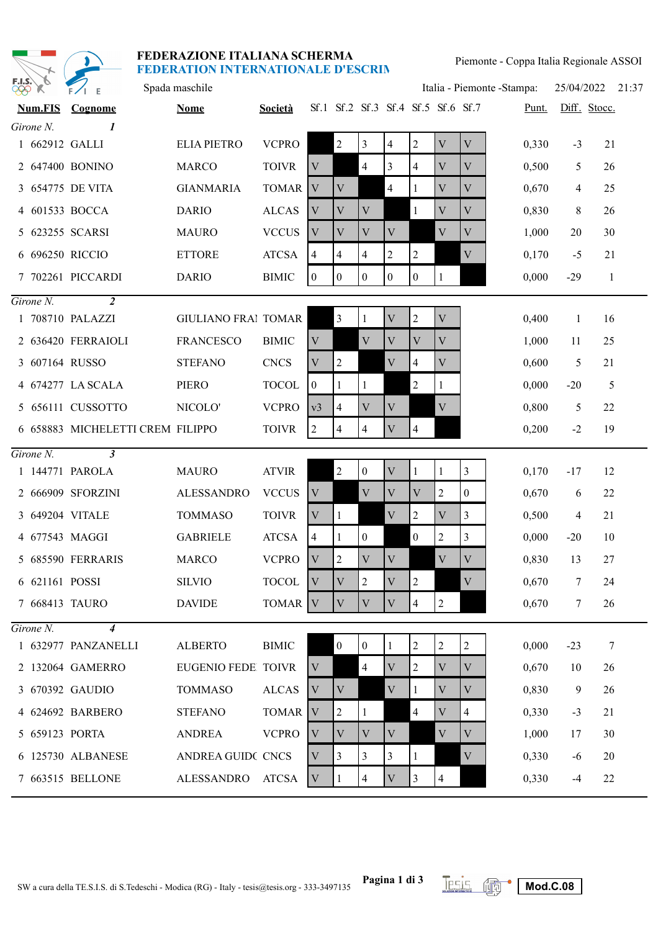| FEDERAZIONE ITALIANA SCHERMA              |
|-------------------------------------------|
| <b>FEDERATION INTERNATIONALE D'ESCRIN</b> |

|                       |                | FEDERAZIONE ITALIANA SCHERMA<br><b>FEDERATION INTERNATIONALE D'ESCRIN</b> |                            |                    |                           |                  |                                    |                           |                | Piemonte - Coppa Italia Regionale ASSOI |                |                             |                 |              |       |  |  |
|-----------------------|----------------|---------------------------------------------------------------------------|----------------------------|--------------------|---------------------------|------------------|------------------------------------|---------------------------|----------------|-----------------------------------------|----------------|-----------------------------|-----------------|--------------|-------|--|--|
| F.I.S.`<br><b>QQQ</b> |                |                                                                           | Spada maschile             |                    |                           |                  |                                    |                           |                |                                         |                | Italia - Piemonte - Stampa: | 25/04/2022      |              | 21:37 |  |  |
|                       | <b>Num.FIS</b> | Cognome                                                                   | <b>Nome</b>                | Società            |                           |                  | Sf.1 Sf.2 Sf.3 Sf.4 Sf.5 Sf.6 Sf.7 |                           |                |                                         |                | Punt.                       |                 | Diff. Stocc. |       |  |  |
|                       | Girone N.      | 1                                                                         |                            |                    |                           |                  |                                    |                           |                |                                         |                |                             |                 |              |       |  |  |
|                       | 1 662912 GALLI |                                                                           | <b>ELIA PIETRO</b>         | <b>VCPRO</b>       |                           | $\overline{2}$   | 3                                  | $\overline{\mathcal{A}}$  | $\overline{2}$ | V                                       | $\mathbf V$    | 0,330                       | $-3$            | 21           |       |  |  |
|                       |                | 2 647400 BONINO                                                           | <b>MARCO</b>               | <b>TOIVR</b>       | V                         |                  | $\overline{4}$                     | 3                         | $\overline{4}$ | V                                       | V              | 0,500                       | 5               | 26           |       |  |  |
|                       |                | 3 654775 DE VITA                                                          | <b>GIANMARIA</b>           | <b>TOMAR</b>       | V                         | V                |                                    | $\overline{4}$            |                | $\mathbf V$                             | $\mathbf{V}$   | 0,670                       | 4               | 25           |       |  |  |
|                       |                | 4 601533 BOCCA                                                            | <b>DARIO</b>               | <b>ALCAS</b>       | $\boldsymbol{\mathrm{V}}$ | V                | $\mathbf V$                        |                           | 1              | V                                       | V              | 0,830                       | 8               | 26           |       |  |  |
|                       |                | 5 623255 SCARSI                                                           | <b>MAURO</b>               | <b>VCCUS</b>       | V                         | V                | V                                  | V                         |                | V                                       | V              | 1,000                       | 20              | 30           |       |  |  |
|                       |                | 6 696250 RICCIO                                                           | <b>ETTORE</b>              | <b>ATCSA</b>       | $\overline{4}$            | $\overline{4}$   | $\overline{4}$                     | $\overline{2}$            | $\overline{2}$ |                                         | V              | 0,170                       | $-5$            | 21           |       |  |  |
|                       |                | 7 702261 PICCARDI                                                         | <b>DARIO</b>               | <b>BIMIC</b>       | $\overline{0}$            | $\overline{0}$   | $\overline{0}$                     | $\overline{0}$            | $\overline{0}$ | 1                                       |                | 0,000                       | $-29$           | -1           |       |  |  |
|                       | $Girone N$ .   | $\overline{2}$                                                            |                            |                    |                           |                  |                                    |                           |                |                                         |                |                             |                 |              |       |  |  |
|                       |                | 1 708710 PALAZZI                                                          | <b>GIULIANO FRAI TOMAR</b> |                    |                           | 3                | 1                                  | V                         | $\overline{c}$ | V                                       |                | 0,400                       | 1               | 16           |       |  |  |
|                       |                | 2 636420 FERRAIOLI                                                        | <b>FRANCESCO</b>           | <b>BIMIC</b>       | V                         |                  | $\mathbf{V}$                       | V                         | V              | $\mathbf{V}$                            |                | 1,000                       | 11              | 25           |       |  |  |
|                       |                | 3 607164 RUSSO                                                            | <b>STEFANO</b>             | <b>CNCS</b>        | V                         | $\overline{2}$   |                                    | $\mathbf V$               | 4              | V                                       |                | 0,600                       | 5               | 21           |       |  |  |
|                       |                | 4 674277 LA SCALA                                                         | <b>PIERO</b>               | <b>TOCOL</b>       | $\overline{0}$            |                  |                                    |                           | $\overline{c}$ |                                         |                | 0,000                       | $-20$           | 5            |       |  |  |
|                       |                | 5 656111 CUSSOTTO                                                         | NICOLO'                    | <b>VCPRO</b>       | v3                        | $\overline{4}$   | $\mathbf V$                        | $\mathbf{V}$              |                | $\mathbf{V}$                            |                | 0,800                       | 5               | 22           |       |  |  |
|                       |                | 6 658883 MICHELETTI CREM FILIPPO                                          |                            | <b>TOIVR</b>       | $\overline{2}$            | $\overline{4}$   | 4                                  | $\mathbf V$               | 4              |                                         |                | 0,200                       | $-2$            | 19           |       |  |  |
|                       | $Girone N$ .   | $\mathbf{3}$                                                              |                            |                    |                           |                  |                                    |                           |                |                                         |                |                             |                 |              |       |  |  |
|                       |                | 1 144771 PAROLA                                                           | <b>MAURO</b>               | <b>ATVIR</b>       |                           | $\overline{2}$   | $\mathbf{0}$                       | $\mathbf V$               | 1              | 1                                       | 3              | 0,170                       | $-17$           | 12           |       |  |  |
|                       |                | 2 666909 SFORZINI                                                         | <b>ALESSANDRO</b>          | <b>VCCUS</b>       | $\mathbf V$               |                  | $\mathbf{V}$                       | $\mathbf V$               | V              | $\overline{2}$                          | $\mathbf{0}$   | 0,670                       | 6               | 22           |       |  |  |
|                       |                | 3 649204 VITALE                                                           | <b>TOMMASO</b>             | <b>TOIVR</b>       | V                         | 1                |                                    | V                         | 2              | $\mathbf V$                             | 3              | 0,500                       | 4               | 21           |       |  |  |
|                       |                | 4 677543 MAGGI                                                            | <b>GABRIELE</b>            | <b>ATCSA</b>       | $\overline{4}$            |                  | $\boldsymbol{0}$                   |                           | $\theta$       | $\overline{2}$                          | 3              | 0,000                       | $-20$           | 10           |       |  |  |
|                       |                | 5 685590 FERRARIS                                                         | <b>MARCO</b>               | <b>VCPRO</b>       | $\mathbf V$               | $\overline{2}$   | $\mathbf V$                        | V                         |                | $\mathbf{V}$                            | $\mathbf V$    | 0,830                       | 13              | 27           |       |  |  |
|                       | 6 621161 POSSI |                                                                           | <b>SILVIO</b>              | <b>TOCOL</b>       | $\mathbf{V}$              | $\mathbf V$      | $\overline{2}$                     | $\mathbf V$               | $\overline{2}$ |                                         | $\mathbf V$    | 0,670                       | $\overline{7}$  | 24           |       |  |  |
|                       |                | 7 668413 TAURO                                                            | <b>DAVIDE</b>              | TOMAR <sup>V</sup> |                           | V                | $\mathbf V$                        | V                         | $\overline{4}$ | $\overline{2}$                          |                | 0,670                       | $7\phantom{.0}$ | 26           |       |  |  |
|                       | $Girone N$ .   | $\overline{4}$                                                            |                            |                    |                           |                  |                                    |                           |                |                                         |                |                             |                 |              |       |  |  |
|                       |                | 1 632977 PANZANELLI                                                       | <b>ALBERTO</b>             | <b>BIMIC</b>       |                           | $\boldsymbol{0}$ | $\mathbf{0}$                       | $\mathbf{1}$              | $\overline{2}$ | 2                                       | 2              | 0,000                       | $-23$           | - 7          |       |  |  |
|                       |                | 2 132064 GAMERRO                                                          | EUGENIO FEDE TOIVR         |                    | $\mathbf V$               |                  | $\overline{4}$                     | $\ensuremath{\mathbf{V}}$ | 2              | V                                       | $\mathbf V$    | 0,670                       | 10              | 26           |       |  |  |
|                       |                | 3 670392 GAUDIO                                                           | <b>TOMMASO</b>             | <b>ALCAS</b>       | V                         | V                |                                    | $\mathbf V$               |                | V                                       | V              | 0,830                       | 9               | 26           |       |  |  |
|                       |                | 4 624692 BARBERO                                                          | <b>STEFANO</b>             | TOMAR V            |                           | $\overline{2}$   | 1                                  |                           | $\overline{4}$ | V                                       | $\overline{4}$ | 0,330                       | $-3$            | 21           |       |  |  |
|                       |                | 5 659123 PORTA                                                            | ANDREA                     | <b>VCPRO</b>       | $\mathbf V$               | $\mathbf V$      | $\mathbf V$                        | $\mathbf{V}$              |                | V                                       | $\mathbf V$    | 1,000                       | 17              | 30           |       |  |  |
|                       |                | 6 125730 ALBANESE                                                         | ANDREA GUIDC CNCS          |                    | V                         | 3                | 3                                  | 3                         | 1              |                                         | $\mathbf V$    | 0,330                       | $-6$            | 20           |       |  |  |
|                       |                | 7 663515 BELLONE                                                          | ALESSANDRO ATCSA           |                    | $\mathbf V$               | 1                | $\overline{4}$                     | V                         | 3              | 4                                       |                | 0,330                       | $-4$            | 22           |       |  |  |

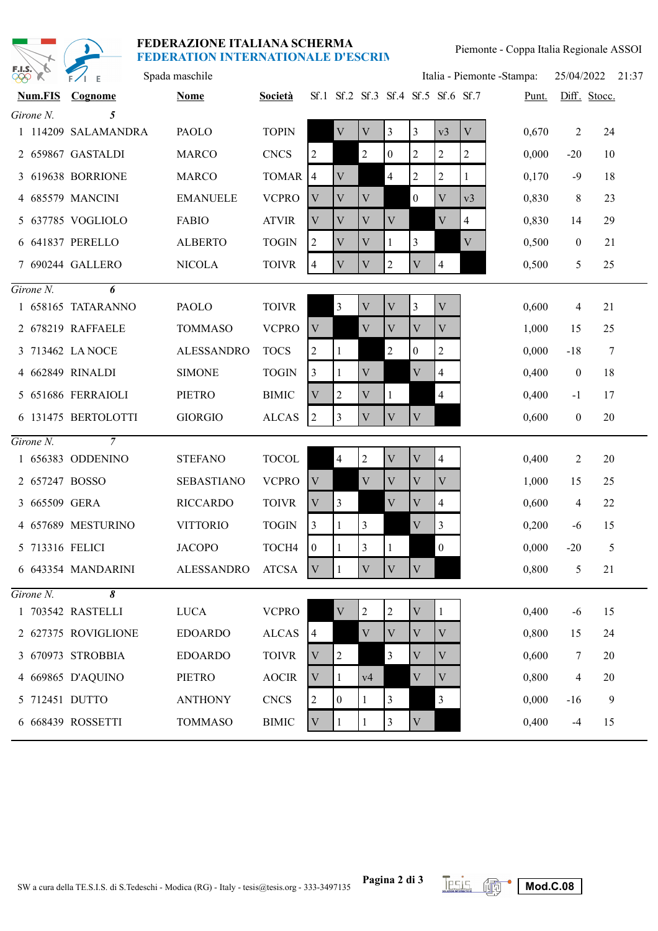

| F.I.S.\<br><b>PPP</b> | O,<br>$\chi$   | $F/I$ E             | Spada maschile    |                        |                |                |                         |                                    |                         |                |              | Italia - Piemonte - Stampa: | 25/04/2022       |                 | 21:37 |
|-----------------------|----------------|---------------------|-------------------|------------------------|----------------|----------------|-------------------------|------------------------------------|-------------------------|----------------|--------------|-----------------------------|------------------|-----------------|-------|
|                       | <b>Num.FIS</b> | Cognome             | <b>Nome</b>       | Società                |                |                |                         | Sf.1 Sf.2 Sf.3 Sf.4 Sf.5 Sf.6 Sf.7 |                         |                |              | Punt.                       |                  | Diff. Stocc.    |       |
|                       | Girone N.      | 5                   |                   |                        |                |                |                         |                                    |                         |                |              |                             |                  |                 |       |
|                       |                | 1 114209 SALAMANDRA | PAOLO             | <b>TOPIN</b>           |                | $\mathbf V$    | $\mathbf V$             | $\overline{3}$                     | 3                       | v3             | $\mathbf{V}$ | 0,670                       | 2                | 24              |       |
|                       |                | 2 659867 GASTALDI   | <b>MARCO</b>      | <b>CNCS</b>            | 2              |                | 2                       | $\boldsymbol{0}$                   | $\overline{c}$          | $\overline{2}$ | 2            | 0,000                       | $-20$            | 10              |       |
|                       |                | 3 619638 BORRIONE   | <b>MARCO</b>      | <b>TOMAR</b>           | 4              | V              |                         | $\overline{4}$                     | $\overline{c}$          | $\overline{2}$ |              | 0,170                       | $-9$             | 18              |       |
|                       |                | 4 685579 MANCINI    | <b>EMANUELE</b>   | <b>VCPRO</b>           | V              | V              | V                       |                                    | $\Omega$                | $\mathbf{V}$   | v3           | 0,830                       | 8                | 23              |       |
|                       |                | 5 637785 VOGLIOLO   | <b>FABIO</b>      | <b>ATVIR</b>           | $\mathbf V$    | V              | $\mathbf{V}$            | V                                  |                         | $\mathbf V$    | 4            | 0,830                       | 14               | 29              |       |
|                       |                | 6 641837 PERELLO    | <b>ALBERTO</b>    | <b>TOGIN</b>           | 2              | V              | V                       |                                    | 3                       |                | $\mathbf V$  | 0,500                       | $\boldsymbol{0}$ | 21              |       |
|                       |                | 7 690244 GALLERO    | <b>NICOLA</b>     | <b>TOIVR</b>           | $\overline{4}$ | V              | V                       | 2                                  | $\overline{\mathsf{V}}$ | $\overline{4}$ |              | 0,500                       | 5                | 25              |       |
|                       | $Girone N$ .   | 6                   |                   |                        |                |                |                         |                                    |                         |                |              |                             |                  |                 |       |
|                       |                | 1 658165 TATARANNO  | <b>PAOLO</b>      | <b>TOIVR</b>           |                | $\overline{3}$ | $\mathbf{V}$            | $\mathbf{V}$                       | 3                       | $\mathbf{V}$   |              | 0,600                       | 4                | 21              |       |
|                       |                | 2 678219 RAFFAELE   | <b>TOMMASO</b>    | <b>VCPRO</b>           | V              |                | V                       | V                                  | V                       | V              |              | 1,000                       | 15               | 25              |       |
|                       |                | 3 713462 LA NOCE    | <b>ALESSANDRO</b> | <b>TOCS</b>            | 2              | -1             |                         | $\overline{2}$                     | $\boldsymbol{0}$        | $\overline{c}$ |              | 0,000                       | $-18$            | $7\phantom{.0}$ |       |
|                       |                | 4 662849 RINALDI    | <b>SIMONE</b>     | <b>TOGIN</b>           | 3              | 1              | $\mathbf V$             |                                    | $\mathbf{V}$            | 4              |              | 0,400                       | $\boldsymbol{0}$ | 18              |       |
|                       |                | 5 651686 FERRAIOLI  | PIETRO            | <b>BIMIC</b>           | V              | 2              | V                       |                                    |                         | $\overline{4}$ |              | 0,400                       | $-1$             | 17              |       |
|                       |                | 6 131475 BERTOLOTTI | <b>GIORGIO</b>    | <b>ALCAS</b>           | 2              | 3              | V                       | V                                  | V                       |                |              | 0,600                       | $\mathbf{0}$     | 20              |       |
|                       | $Girone N$ .   | $\overline{7}$      |                   |                        |                |                |                         |                                    |                         |                |              |                             |                  |                 |       |
|                       |                | 1 656383 ODDENINO   | <b>STEFANO</b>    | $\operatorname{TOCOL}$ |                | $\overline{4}$ | $\overline{c}$          | $\mathbf V$                        | V                       | 4              |              | 0,400                       | 2                | 20              |       |
|                       |                | 2 657247 BOSSO      | <b>SEBASTIANO</b> | <b>VCPRO</b>           | V              |                | V                       | V                                  | V                       | V              |              | 1,000                       | 15               | 25              |       |
|                       | 3 665509 GERA  |                     | <b>RICCARDO</b>   | <b>TOIVR</b>           | V              | $\overline{3}$ |                         | V                                  | V                       | 4              |              | 0,600                       | 4                | 22              |       |
|                       |                | 4 657689 MESTURINO  | <b>VITTORIO</b>   | <b>TOGIN</b>           | 3              | 1              | 3                       |                                    | V                       | 3              |              | 0,200                       | $-6$             | 15              |       |
|                       |                | 5 713316 FELICI     | <b>JACOPO</b>     | TOCH4                  | $\mathbf{0}$   | 1              | 3                       | $\vert$ 1                          |                         | $\mathbf{0}$   |              | 0,000                       | $-20$            | 5               |       |
|                       |                | 6 643354 MANDARINI  | <b>ALESSANDRO</b> | ATCSA                  | V              | $\mathbf{1}$   | $\overline{\mathbf{V}}$ | V                                  | V                       |                |              | 0,800                       | 5                | 21              |       |
|                       | Girone N.      | $\overline{\delta}$ |                   |                        |                |                |                         |                                    |                         |                |              |                             |                  |                 |       |
|                       |                | 1 703542 RASTELLI   | <b>LUCA</b>       | <b>VCPRO</b>           |                | $\mathbf V$    | $\overline{2}$          | $\sqrt{2}$                         | $\mathbf V$             |                |              | 0,400                       | $-6$             | 15              |       |
|                       |                | 2 627375 ROVIGLIONE | <b>EDOARDO</b>    | <b>ALCAS</b>           | $\overline{4}$ |                | V                       | V                                  | V                       | V              |              | 0,800                       | 15               | 24              |       |
|                       |                | 3 670973 STROBBIA   | <b>EDOARDO</b>    | <b>TOIVR</b>           | V              | $\overline{2}$ |                         | $\mathfrak{Z}$                     | V                       | V              |              | 0,600                       | 7                | 20              |       |
|                       |                | 4 669865 D'AQUINO   | <b>PIETRO</b>     | <b>AOCIR</b>           | $\mathbf V$    | 1              | v4                      |                                    | $\mathbf V$             | V              |              | 0,800                       | 4                | 20              |       |
|                       |                | 5 712451 DUTTO      | <b>ANTHONY</b>    | <b>CNCS</b>            | $\overline{2}$ | $\mathbf{0}$   | 1                       | 3                                  |                         | 3              |              | 0,000                       | $-16$            | 9               |       |
|                       |                | 6 668439 ROSSETTI   | <b>TOMMASO</b>    | <b>BIMIC</b>           | V              |                |                         | 3                                  | $\overline{V}$          |                |              | 0,400                       | $-4$             | 15              |       |

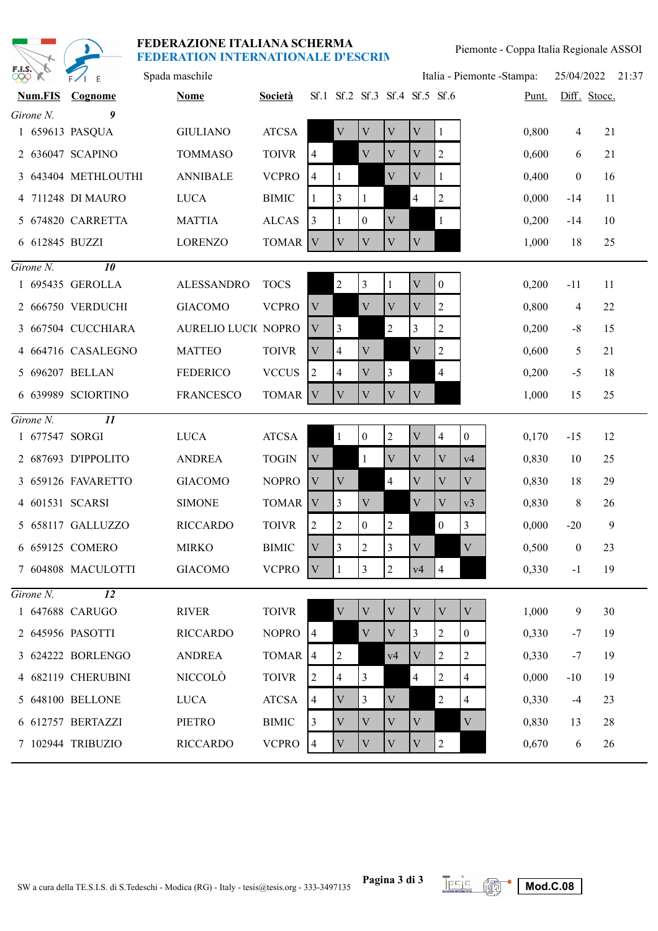

| <b>PRO K</b>   | $F/I$ E             | Spada maschile      |                    |                |                               |                |                |                |                | Italia - Piemonte - Stampa: |       | 25/04/2022 21:37 |              |  |
|----------------|---------------------|---------------------|--------------------|----------------|-------------------------------|----------------|----------------|----------------|----------------|-----------------------------|-------|------------------|--------------|--|
| <b>Num.FIS</b> | Cognome             | <b>Nome</b>         | <b>Società</b>     |                | Sf.1 Sf.2 Sf.3 Sf.4 Sf.5 Sf.6 |                |                |                |                |                             | Punt. |                  | Diff. Stocc. |  |
| Girone N.      | 9                   |                     |                    |                |                               |                |                |                |                |                             |       |                  |              |  |
|                | 1 659613 PASQUA     | <b>GIULIANO</b>     | <b>ATCSA</b>       |                | $\mathbf V$                   | V              | V              | V              |                |                             | 0,800 | 4                | 21           |  |
|                | 2 636047 SCAPINO    | <b>TOMMASO</b>      | <b>TOIVR</b>       | $\overline{4}$ |                               | V              | V              | $\mathbf{V}$   | 2              |                             | 0,600 | 6                | 21           |  |
|                | 3 643404 METHLOUTHI | <b>ANNIBALE</b>     | <b>VCPRO</b>       | $\overline{4}$ | 1                             |                | $\mathbf V$    | $\mathbf V$    |                |                             | 0,400 | $\boldsymbol{0}$ | 16           |  |
|                | 4 711248 DI MAURO   | <b>LUCA</b>         | <b>BIMIC</b>       | 1              | 3                             | 1              |                | $\overline{4}$ | 2              |                             | 0,000 | $-14$            | 11           |  |
|                | 5 674820 CARRETTA   | <b>MATTIA</b>       | <b>ALCAS</b>       | $\overline{3}$ | $\mathbf{1}$                  | $\overline{0}$ | $\mathbf V$    |                | $\mathbf{1}$   |                             | 0,200 | $-14$            | 10           |  |
| 6 612845 BUZZI |                     | <b>LORENZO</b>      | TOMAR V            |                | $\mathbf V$                   | V              | V              | V              |                |                             | 1,000 | 18               | 25           |  |
| $Girone N$ .   | $\overline{10}$     |                     |                    |                |                               |                |                |                |                |                             |       |                  |              |  |
|                | 1 695435 GEROLLA    | <b>ALESSANDRO</b>   | <b>TOCS</b>        |                | $\sqrt{2}$                    | 3              | 1              | V              | $\mathbf{0}$   |                             | 0,200 | $-11$            | 11           |  |
|                | 2 666750 VERDUCHI   | <b>GIACOMO</b>      | <b>VCPRO</b>       | V              |                               | $\mathbf{V}$   | $\mathbf{V}$   | V              | 2              |                             | 0,800 | 4                | 22           |  |
|                | 3 667504 CUCCHIARA  | AURELIO LUCI( NOPRO |                    | $\mathbf V$    | 3                             |                | $\overline{2}$ | $\overline{3}$ | $\overline{c}$ |                             | 0,200 | $-8$             | 15           |  |
|                | 4 664716 CASALEGNO  | <b>MATTEO</b>       | <b>TOIVR</b>       | V              | 4                             | V              |                | V              | $\overline{2}$ |                             | 0,600 | 5                | 21           |  |
|                | 5 696207 BELLAN     | <b>FEDERICO</b>     | <b>VCCUS</b>       | 2              | $\overline{4}$                | $\mathbf V$    | 3              |                | $\overline{4}$ |                             | 0,200 | $-5$             | 18           |  |
|                | 6 639989 SCIORTINO  | <b>FRANCESCO</b>    | TOMAR V            |                | V                             | V              | V              | V              |                |                             | 1,000 | 15               | 25           |  |
| $Girone N$ .   |                     |                     |                    |                |                               |                |                |                |                |                             |       |                  |              |  |
| 1 677547 SORGI |                     | <b>LUCA</b>         | <b>ATCSA</b>       |                | $\mathbf{1}$                  | $\overline{0}$ | $\overline{c}$ | V              | 4              | $\overline{0}$              | 0,170 | $-15$            | 12           |  |
|                | 2 687693 D'IPPOLITO | <b>ANDREA</b>       | <b>TOGIN</b>       | V              |                               | $\mathbf{1}$   | $\mathbf V$    | $\mathbf{V}$   | $\mathbf{V}$   | v4                          | 0,830 | 10               | 25           |  |
|                | 3 659126 FAVARETTO  | <b>GIACOMO</b>      | <b>NOPRO</b>       | $\mathbf{V}$   | $\mathbf V$                   |                | $\overline{4}$ | V              | V              | $\mathbf V$                 | 0,830 | 18               | 29           |  |
|                | 4 601531 SCARSI     | <b>SIMONE</b>       | TOMAR <sup>V</sup> |                | 3                             | V              |                | V              | V              | v <sub>3</sub>              | 0,830 | 8                | 26           |  |
|                | 5 658117 GALLUZZO   | <b>RICCARDO</b>     | <b>TOIVR</b>       | 2              | $\overline{2}$                | $\overline{0}$ | $\overline{2}$ |                | $\mathbf{0}$   | $\overline{3}$              | 0,000 | $-20$            | 9            |  |
|                | 6 659125 COMERO     | <b>MIRKO</b>        | <b>BIMIC</b>       | $\mathbf V$    | $\overline{3}$                | $\overline{c}$ | 3              | $\mathbf V$    |                | $\mathbf V$                 | 0,500 | $\boldsymbol{0}$ | 23           |  |
|                | 7 604808 MACULOTTI  | GIACOMO             | VCPRO V            |                | $\vert$ 1                     | 3              | $\overline{2}$ | v4             | 4              |                             | 0,330 | $-1$             | 19           |  |
| Girone N.      | $\overline{12}$     |                     |                    |                |                               |                |                |                |                |                             |       |                  |              |  |
|                | 1 647688 CARUGO     | <b>RIVER</b>        | <b>TOIVR</b>       |                | $\mathbf V$                   | $\mathbf V$    | $\mathbf V$    | $\mathbf V$    | $\mathbf V$    | V                           | 1,000 | 9                | 30           |  |
|                | 2 645956 PASOTTI    | <b>RICCARDO</b>     | <b>NOPRO</b>       | $\overline{4}$ |                               | V              | $\mathbf V$    | $\overline{3}$ | $\overline{2}$ | $\mathbf{0}$                | 0,330 | $-7$             | 19           |  |
|                | 3 624222 BORLENGO   | <b>ANDREA</b>       | TOMAR <sub>4</sub> |                | $\overline{c}$                |                | v4             | $\mathbf V$    | 2              | 2                           | 0,330 | $-7$             | 19           |  |
|                | 4 682119 CHERUBINI  | <b>NICCOLÒ</b>      | <b>TOIVR</b>       | 2              | 4                             | 3              |                | $\overline{4}$ | $\overline{2}$ | 4                           | 0,000 | $-10$            | 19           |  |
|                | 5 648100 BELLONE    | <b>LUCA</b>         | <b>ATCSA</b>       | $\overline{4}$ | V                             | 3              | V              |                | $\overline{2}$ | $\overline{4}$              | 0,330 | $-4$             | 23           |  |
|                | 6 612757 BERTAZZI   | PIETRO              | <b>BIMIC</b>       | $\mathfrak{Z}$ | V                             | V              | V              | V              |                | V                           | 0,830 | 13               | 28           |  |
|                | 7 102944 TRIBUZIO   | <b>RICCARDO</b>     | <b>VCPRO</b>       | $\overline{4}$ | $\mathbf V$                   | $\mathbf V$    | $\mathbf V$    | $\mathbf V$    | $\overline{2}$ |                             | 0,670 | 6                | 26           |  |

SW a cura della TE.S.I.S. di S.Tedeschi - Modica (RG) - Italy - tesis@tesis.org - 333-3497135

**Pagina 3 di 3 Mod.C.08**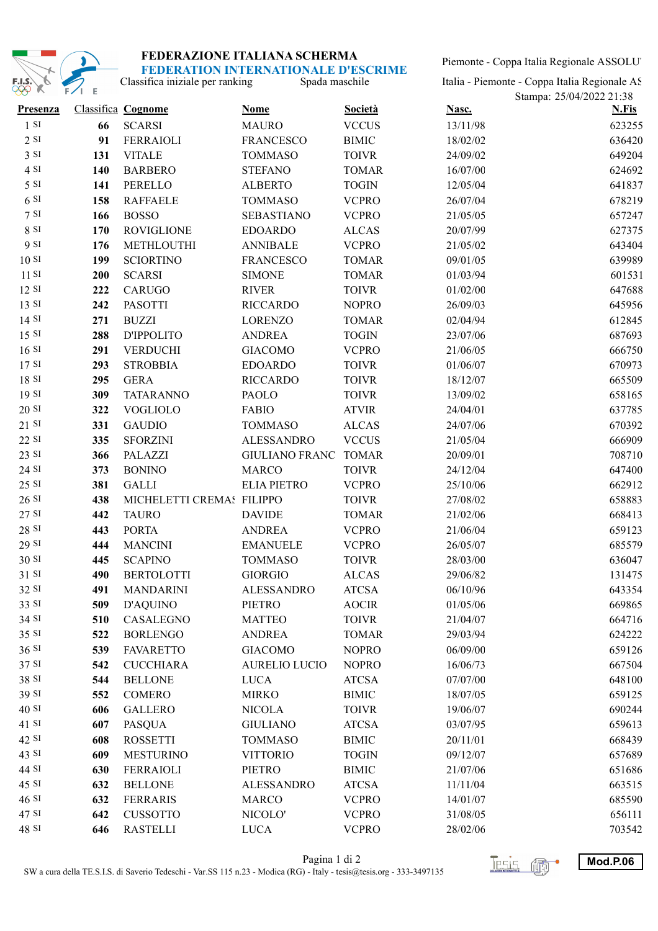

Piemonte - Coppa Italia Regionale ASSOLUT

Spada maschile Classifica iniziale per ranking

Italia - Piemonte - Coppa Italia Regionale AS

| モスナ<br><b>TA</b> | <b>FZI E</b> |                           |                      |                |          | Stampa: 25/04/2022 21:38 |
|------------------|--------------|---------------------------|----------------------|----------------|----------|--------------------------|
| Presenza         |              | Classifica Cognome        | <b>Nome</b>          | <b>Società</b> | Nasc.    | <b>N.Fis</b>             |
| 1 S I            | 66           | <b>SCARSI</b>             | <b>MAURO</b>         | <b>VCCUS</b>   | 13/11/98 | 623255                   |
| 2 S I            | 91           | <b>FERRAIOLI</b>          | <b>FRANCESCO</b>     | <b>BIMIC</b>   | 18/02/02 | 636420                   |
| 3 SI             | 131          | <b>VITALE</b>             | <b>TOMMASO</b>       | <b>TOIVR</b>   | 24/09/02 | 649204                   |
| 4 SI             | 140          | <b>BARBERO</b>            | <b>STEFANO</b>       | <b>TOMAR</b>   | 16/07/00 | 624692                   |
| 5 SI             | 141          | PERELLO                   | <b>ALBERTO</b>       | <b>TOGIN</b>   | 12/05/04 | 641837                   |
| 6S1              | 158          | <b>RAFFAELE</b>           | <b>TOMMASO</b>       | <b>VCPRO</b>   | 26/07/04 | 678219                   |
| 7S1              | 166          | <b>BOSSO</b>              | <b>SEBASTIANO</b>    | <b>VCPRO</b>   | 21/05/05 | 657247                   |
| 8 SI             | 170          | <b>ROVIGLIONE</b>         | <b>EDOARDO</b>       | <b>ALCAS</b>   | 20/07/99 | 627375                   |
| 9 SI             | 176          | METHLOUTHI                | <b>ANNIBALE</b>      | <b>VCPRO</b>   | 21/05/02 | 643404                   |
| 10S              | 199          | <b>SCIORTINO</b>          | <b>FRANCESCO</b>     | <b>TOMAR</b>   | 09/01/05 | 639989                   |
| 11S              | 200          | <b>SCARSI</b>             | <b>SIMONE</b>        | <b>TOMAR</b>   | 01/03/94 | 601531                   |
| 12 SI            | 222          | CARUGO                    | <b>RIVER</b>         | <b>TOIVR</b>   | 01/02/00 | 647688                   |
| 13 SI            | 242          | <b>PASOTTI</b>            | <b>RICCARDO</b>      | <b>NOPRO</b>   | 26/09/03 | 645956                   |
| 14 SI            | 271          | <b>BUZZI</b>              | <b>LORENZO</b>       | <b>TOMAR</b>   | 02/04/94 | 612845                   |
| 15 SI            | 288          | <b>D'IPPOLITO</b>         | <b>ANDREA</b>        | <b>TOGIN</b>   | 23/07/06 | 687693                   |
| 16S              | 291          | <b>VERDUCHI</b>           | <b>GIACOMO</b>       | <b>VCPRO</b>   | 21/06/05 | 666750                   |
| 17S              | 293          | <b>STROBBIA</b>           | <b>EDOARDO</b>       | <b>TOIVR</b>   | 01/06/07 | 670973                   |
| 18 SI            | 295          | <b>GERA</b>               | <b>RICCARDO</b>      | <b>TOIVR</b>   | 18/12/07 | 665509                   |
| 19 SI            | 309          | <b>TATARANNO</b>          | <b>PAOLO</b>         | <b>TOIVR</b>   | 13/09/02 | 658165                   |
| 20S              | 322          | <b>VOGLIOLO</b>           | <b>FABIO</b>         | <b>ATVIR</b>   | 24/04/01 | 637785                   |
| 21 SI            | 331          | <b>GAUDIO</b>             | <b>TOMMASO</b>       | <b>ALCAS</b>   | 24/07/06 | 670392                   |
| 22 SI            | 335          | <b>SFORZINI</b>           | <b>ALESSANDRO</b>    | <b>VCCUS</b>   | 21/05/04 | 666909                   |
| 23 SI            | 366          | <b>PALAZZI</b>            | GIULIANO FRANC TOMAR |                | 20/09/01 | 708710                   |
| 24 SI            | 373          | <b>BONINO</b>             | <b>MARCO</b>         | <b>TOIVR</b>   | 24/12/04 | 647400                   |
| 25 SI            | 381          | <b>GALLI</b>              | <b>ELIA PIETRO</b>   | <b>VCPRO</b>   | 25/10/06 | 662912                   |
| 26 SI            | 438          | MICHELETTI CREMAS FILIPPO |                      | <b>TOIVR</b>   | 27/08/02 | 658883                   |
| 27 SI            | 442          | <b>TAURO</b>              | <b>DAVIDE</b>        | <b>TOMAR</b>   | 21/02/06 | 668413                   |
| 28 SI            | 443          | <b>PORTA</b>              | <b>ANDREA</b>        | <b>VCPRO</b>   | 21/06/04 | 659123                   |
| 29 SI            | 444          | <b>MANCINI</b>            | <b>EMANUELE</b>      | <b>VCPRO</b>   | 26/05/07 | 685579                   |
| 30 SI            | 445          | <b>SCAPINO</b>            | <b>TOMMASO</b>       | <b>TOIVR</b>   | 28/03/00 | 636047                   |
| 31 SI            | 490          | <b>BERTOLOTTI</b>         | <b>GIORGIO</b>       | <b>ALCAS</b>   | 29/06/82 | 131475                   |
| 32 SI            | 491          | <b>MANDARINI</b>          | <b>ALESSANDRO</b>    | <b>ATCSA</b>   | 06/10/96 | 643354                   |
| 33 SI            | 509          | <b>D'AQUINO</b>           | <b>PIETRO</b>        | <b>AOCIR</b>   | 01/05/06 | 669865                   |
| 34 SI            | 510          | CASALEGNO                 | <b>MATTEO</b>        | <b>TOIVR</b>   | 21/04/07 | 664716                   |
| 35 SI            | 522          | <b>BORLENGO</b>           | <b>ANDREA</b>        | <b>TOMAR</b>   | 29/03/94 | 624222                   |
| 36 SI            | 539          | <b>FAVARETTO</b>          | <b>GIACOMO</b>       | <b>NOPRO</b>   | 06/09/00 | 659126                   |
| 37 SI            | 542          | <b>CUCCHIARA</b>          | <b>AURELIO LUCIO</b> | <b>NOPRO</b>   | 16/06/73 | 667504                   |
| 38 SI            | 544          | <b>BELLONE</b>            | <b>LUCA</b>          | <b>ATCSA</b>   | 07/07/00 | 648100                   |
| 39 SI            | 552          | <b>COMERO</b>             | <b>MIRKO</b>         | <b>BIMIC</b>   | 18/07/05 | 659125                   |
| 40 SI            | 606          | <b>GALLERO</b>            | <b>NICOLA</b>        | <b>TOIVR</b>   | 19/06/07 | 690244                   |
| 41 SI            | 607          | <b>PASQUA</b>             | <b>GIULIANO</b>      | <b>ATCSA</b>   | 03/07/95 | 659613                   |
| 42 SI            | 608          | <b>ROSSETTI</b>           | <b>TOMMASO</b>       | <b>BIMIC</b>   | 20/11/01 | 668439                   |
| 43 SI            | 609          | <b>MESTURINO</b>          | <b>VITTORIO</b>      | <b>TOGIN</b>   | 09/12/07 | 657689                   |
| 44 SI            | 630          | <b>FERRAIOLI</b>          | PIETRO               | <b>BIMIC</b>   | 21/07/06 | 651686                   |
| 45 SI            | 632          | <b>BELLONE</b>            | <b>ALESSANDRO</b>    | <b>ATCSA</b>   | 11/11/04 | 663515                   |
| 46 SI            | 632          | <b>FERRARIS</b>           | <b>MARCO</b>         | <b>VCPRO</b>   | 14/01/07 | 685590                   |
| 47 SI            | 642          | <b>CUSSOTTO</b>           | NICOLO'              | <b>VCPRO</b>   | 31/08/05 | 656111                   |
| 48 SI            | 646          | <b>RASTELLI</b>           | <b>LUCA</b>          | <b>VCPRO</b>   | 28/02/06 | 703542                   |

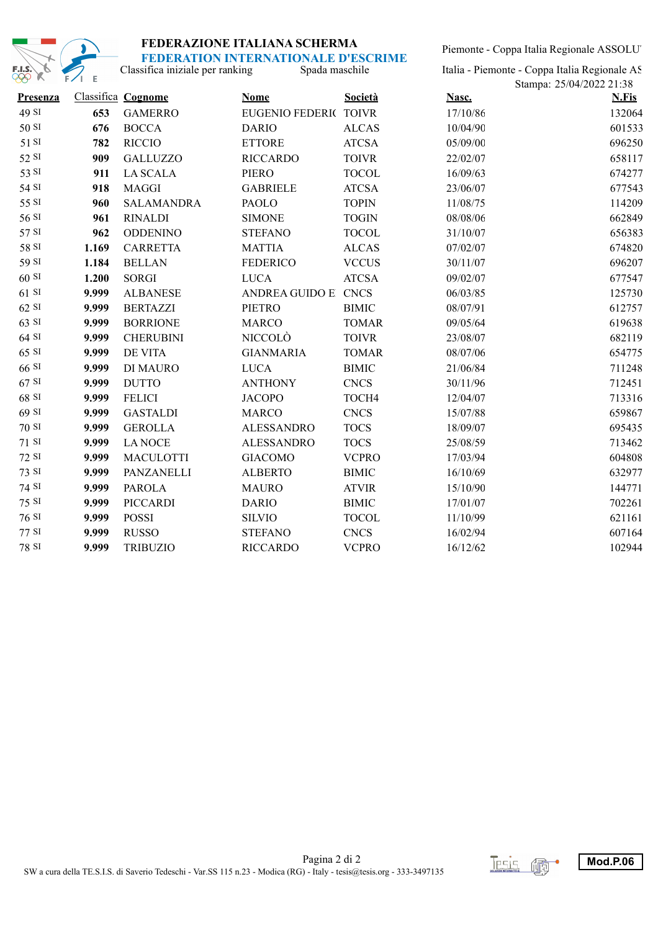

# **FEDERAZIONE ITALIANA SCHERMA**

Spada maschile Classifica iniziale per ranking **FEDERATION INTERNATIONALE D'ESCRIME** Piemonte - Coppa Italia Regionale ASSOLUT

Italia - Piemonte - Coppa Italia Regionale AS

| w               | $\sim$ $\sim$ |                    |                       |                |          | Stampa: 25/04/2022 21:38 |  |
|-----------------|---------------|--------------------|-----------------------|----------------|----------|--------------------------|--|
| <b>Presenza</b> |               | Classifica Cognome | <b>Nome</b>           | <b>Società</b> | Nasc.    | <b>N.Fis</b>             |  |
| 49 SI           | 653           | <b>GAMERRO</b>     | EUGENIO FEDERIC TOIVR |                | 17/10/86 | 132064                   |  |
| 50 SI           | 676           | <b>BOCCA</b>       | <b>DARIO</b>          | <b>ALCAS</b>   | 10/04/90 | 601533                   |  |
| 51 SI           | 782           | <b>RICCIO</b>      | <b>ETTORE</b>         | <b>ATCSA</b>   | 05/09/00 | 696250                   |  |
| 52 SI           | 909           | <b>GALLUZZO</b>    | <b>RICCARDO</b>       | <b>TOIVR</b>   | 22/02/07 | 658117                   |  |
| 53 SI           | 911           | <b>LA SCALA</b>    | <b>PIERO</b>          | <b>TOCOL</b>   | 16/09/63 | 674277                   |  |
| 54 SI           | 918           | <b>MAGGI</b>       | <b>GABRIELE</b>       | <b>ATCSA</b>   | 23/06/07 | 677543                   |  |
| 55 SI           | 960           | <b>SALAMANDRA</b>  | PAOLO                 | <b>TOPIN</b>   | 11/08/75 | 114209                   |  |
| 56 SI           | 961           | <b>RINALDI</b>     | <b>SIMONE</b>         | <b>TOGIN</b>   | 08/08/06 | 662849                   |  |
| 57 SI           | 962           | <b>ODDENINO</b>    | <b>STEFANO</b>        | <b>TOCOL</b>   | 31/10/07 | 656383                   |  |
| 58 SI           | 1.169         | <b>CARRETTA</b>    | <b>MATTIA</b>         | <b>ALCAS</b>   | 07/02/07 | 674820                   |  |
| 59 SI           | 1.184         | <b>BELLAN</b>      | <b>FEDERICO</b>       | <b>VCCUS</b>   | 30/11/07 | 696207                   |  |
| 60S             | 1.200         | <b>SORGI</b>       | <b>LUCA</b>           | <b>ATCSA</b>   | 09/02/07 | 677547                   |  |
| 61 SI           | 9.999         | <b>ALBANESE</b>    | ANDREA GUIDO E CNCS   |                | 06/03/85 | 125730                   |  |
| $62$ SI         | 9.999         | <b>BERTAZZI</b>    | <b>PIETRO</b>         | <b>BIMIC</b>   | 08/07/91 | 612757                   |  |
| 63 SI           | 9.999         | <b>BORRIONE</b>    | <b>MARCO</b>          | <b>TOMAR</b>   | 09/05/64 | 619638                   |  |
| 64 SI           | 9.999         | <b>CHERUBINI</b>   | NICCOLÒ               | <b>TOIVR</b>   | 23/08/07 | 682119                   |  |
| 65 SI           | 9.999         | <b>DE VITA</b>     | <b>GIANMARIA</b>      | <b>TOMAR</b>   | 08/07/06 | 654775                   |  |
| 66 SI           | 9.999         | DI MAURO           | <b>LUCA</b>           | <b>BIMIC</b>   | 21/06/84 | 711248                   |  |
| 67 SI           | 9.999         | <b>DUTTO</b>       | <b>ANTHONY</b>        | <b>CNCS</b>    | 30/11/96 | 712451                   |  |
| 68 SI           | 9.999         | <b>FELICI</b>      | <b>JACOPO</b>         | TOCH4          | 12/04/07 | 713316                   |  |
| 69 SI           | 9.999         | <b>GASTALDI</b>    | <b>MARCO</b>          | <b>CNCS</b>    | 15/07/88 | 659867                   |  |
| 70 SI           | 9.999         | <b>GEROLLA</b>     | <b>ALESSANDRO</b>     | <b>TOCS</b>    | 18/09/07 | 695435                   |  |
| 71 SI           | 9.999         | <b>LANOCE</b>      | <b>ALESSANDRO</b>     | <b>TOCS</b>    | 25/08/59 | 713462                   |  |
| 72 SI           | 9.999         | <b>MACULOTTI</b>   | <b>GIACOMO</b>        | <b>VCPRO</b>   | 17/03/94 | 604808                   |  |
| 73 SI           | 9.999         | PANZANELLI         | <b>ALBERTO</b>        | <b>BIMIC</b>   | 16/10/69 | 632977                   |  |
| 74 SI           | 9.999         | <b>PAROLA</b>      | <b>MAURO</b>          | <b>ATVIR</b>   | 15/10/90 | 144771                   |  |
| 75 SI           | 9.999         | <b>PICCARDI</b>    | <b>DARIO</b>          | <b>BIMIC</b>   | 17/01/07 | 702261                   |  |
| 76 SI           | 9.999         | <b>POSSI</b>       | <b>SILVIO</b>         | <b>TOCOL</b>   | 11/10/99 | 621161                   |  |
| 77 SI           | 9.999         | <b>RUSSO</b>       | <b>STEFANO</b>        | <b>CNCS</b>    | 16/02/94 | 607164                   |  |
| 78 SI           | 9.999         | <b>TRIBUZIO</b>    | <b>RICCARDO</b>       | <b>VCPRO</b>   | 16/12/62 | 102944                   |  |

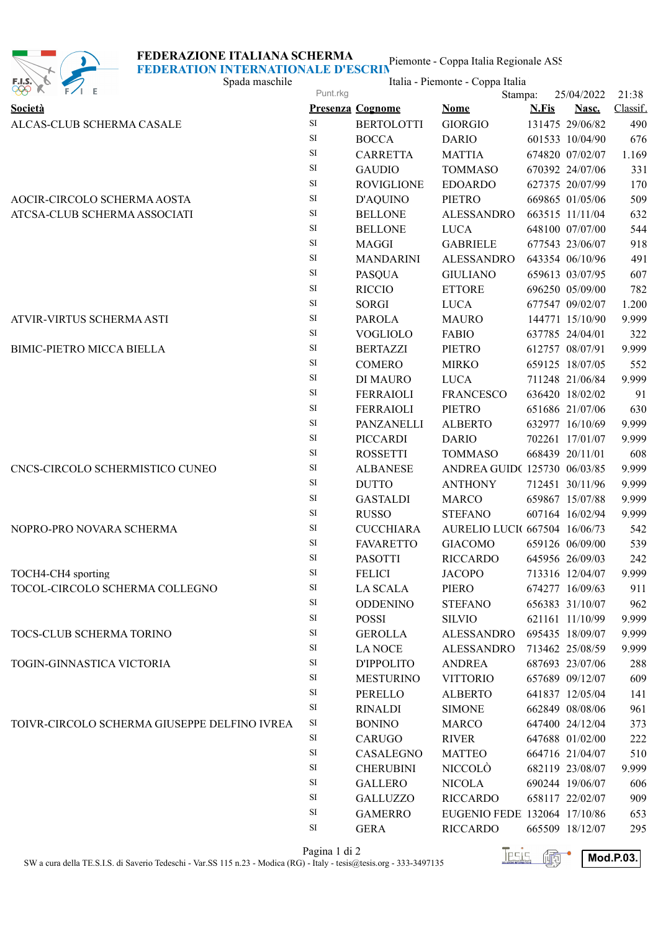### **FEDERAZIONE ITALIANA SCHERMA**



Piemonte - Coppa Italia Regionale ASS **FEDERATION INTERNATIONALE D'ESCRIMETRE** 

| E.I.S.<br>$\mathcal{F}$<br><b>PPP</b> K      | Spada maschile | Italia - Piemonte - Coppa Italia |                               |              |                 |          |
|----------------------------------------------|----------------|----------------------------------|-------------------------------|--------------|-----------------|----------|
|                                              | Punt.rkg       |                                  | Stampa:                       |              | 25/04/2022      | 21:38    |
| Società                                      |                | <b>Presenza Cognome</b>          | <b>Nome</b>                   | <b>N.Fis</b> | Nasc.           | Classif. |
| ALCAS-CLUB SCHERMA CASALE                    | $\rm SI$       | <b>BERTOLOTTI</b>                | <b>GIORGIO</b>                |              | 131475 29/06/82 | 490      |
|                                              | SI             | <b>BOCCA</b>                     | <b>DARIO</b>                  |              | 601533 10/04/90 | 676      |
|                                              | <b>SI</b>      | <b>CARRETTA</b>                  | <b>MATTIA</b>                 |              | 674820 07/02/07 | 1.169    |
|                                              | $\rm SI$       | <b>GAUDIO</b>                    | <b>TOMMASO</b>                |              | 670392 24/07/06 | 331      |
|                                              | $\rm SI$       | <b>ROVIGLIONE</b>                | <b>EDOARDO</b>                |              | 627375 20/07/99 | 170      |
| AOCIR-CIRCOLO SCHERMA AOSTA                  | $\rm SI$       | <b>D'AQUINO</b>                  | <b>PIETRO</b>                 |              | 669865 01/05/06 | 509      |
| ATCSA-CLUB SCHERMA ASSOCIATI                 | $\rm SI$       | <b>BELLONE</b>                   | <b>ALESSANDRO</b>             |              | 663515 11/11/04 | 632      |
|                                              | $\rm SI$       | <b>BELLONE</b>                   | <b>LUCA</b>                   |              | 648100 07/07/00 | 544      |
|                                              | $\rm SI$       | <b>MAGGI</b>                     | <b>GABRIELE</b>               |              | 677543 23/06/07 | 918      |
|                                              | <b>SI</b>      | <b>MANDARINI</b>                 | <b>ALESSANDRO</b>             |              | 643354 06/10/96 | 491      |
|                                              | <b>SI</b>      | <b>PASQUA</b>                    | <b>GIULIANO</b>               |              | 659613 03/07/95 | 607      |
|                                              | SI             | <b>RICCIO</b>                    | <b>ETTORE</b>                 |              | 696250 05/09/00 | 782      |
|                                              | $\rm SI$       | <b>SORGI</b>                     | <b>LUCA</b>                   |              | 677547 09/02/07 | 1.200    |
| ATVIR-VIRTUS SCHERMA ASTI                    | $\rm SI$       | <b>PAROLA</b>                    | <b>MAURO</b>                  |              | 144771 15/10/90 | 9.999    |
|                                              | $\rm SI$       | <b>VOGLIOLO</b>                  | <b>FABIO</b>                  |              | 637785 24/04/01 | 322      |
| <b>BIMIC-PIETRO MICCA BIELLA</b>             | $\rm SI$       | <b>BERTAZZI</b>                  | <b>PIETRO</b>                 |              | 612757 08/07/91 | 9.999    |
|                                              | $\rm SI$       | <b>COMERO</b>                    | <b>MIRKO</b>                  |              | 659125 18/07/05 | 552      |
|                                              | <b>SI</b>      | DI MAURO                         | <b>LUCA</b>                   |              | 711248 21/06/84 | 9.999    |
|                                              | $\rm SI$       | <b>FERRAIOLI</b>                 | <b>FRANCESCO</b>              |              | 636420 18/02/02 | 91       |
|                                              | $\rm SI$       | <b>FERRAIOLI</b>                 | <b>PIETRO</b>                 |              | 651686 21/07/06 | 630      |
|                                              | $\rm SI$       | PANZANELLI                       | <b>ALBERTO</b>                |              | 632977 16/10/69 | 9.999    |
|                                              | $\rm SI$       | <b>PICCARDI</b>                  | <b>DARIO</b>                  |              | 702261 17/01/07 | 9.999    |
|                                              | $\rm SI$       | <b>ROSSETTI</b>                  | <b>TOMMASO</b>                |              | 668439 20/11/01 | 608      |
| CNCS-CIRCOLO SCHERMISTICO CUNEO              | $\rm SI$       | <b>ALBANESE</b>                  | ANDREA GUID(125730 06/03/85   |              |                 | 9.999    |
|                                              | $\rm SI$       | <b>DUTTO</b>                     | <b>ANTHONY</b>                |              | 712451 30/11/96 | 9.999    |
|                                              | <b>SI</b>      | <b>GASTALDI</b>                  | <b>MARCO</b>                  |              | 659867 15/07/88 | 9.999    |
|                                              | <b>SI</b>      | <b>RUSSO</b>                     | <b>STEFANO</b>                |              | 607164 16/02/94 | 9.999    |
| NOPRO-PRO NOVARA SCHERMA                     | $\rm SI$       | <b>CUCCHIARA</b>                 | AURELIO LUCI( 667504 16/06/73 |              |                 | 542      |
|                                              | SI             | <b>FAVARETTO</b>                 | <b>GIACOMO</b>                |              | 659126 06/09/00 | 539      |
|                                              | $\rm SI$       | <b>PASOTTI</b>                   | <b>RICCARDO</b>               |              | 645956 26/09/03 | 242      |
| TOCH4-CH4 sporting                           | $\rm SI$       | <b>FELICI</b>                    | <b>JACOPO</b>                 |              | 713316 12/04/07 | 9.999    |
| TOCOL-CIRCOLO SCHERMA COLLEGNO               | $\rm SI$       | <b>LA SCALA</b>                  | PIERO                         |              | 674277 16/09/63 | 911      |
|                                              | $\rm SI$       | <b>ODDENINO</b>                  | <b>STEFANO</b>                |              | 656383 31/10/07 | 962      |
|                                              | $\rm SI$       | <b>POSSI</b>                     | <b>SILVIO</b>                 |              | 621161 11/10/99 | 9.999    |
| TOCS-CLUB SCHERMA TORINO                     | $\rm SI$       | <b>GEROLLA</b>                   | ALESSANDRO                    |              | 695435 18/09/07 | 9.999    |
|                                              | $\rm SI$       | <b>LANOCE</b>                    | ALESSANDRO                    |              | 713462 25/08/59 | 9.999    |
| TOGIN-GINNASTICA VICTORIA                    | $\rm SI$       | D'IPPOLITO                       | <b>ANDREA</b>                 |              | 687693 23/07/06 | 288      |
|                                              | $\rm SI$       | <b>MESTURINO</b>                 | <b>VITTORIO</b>               |              | 657689 09/12/07 | 609      |
|                                              | $\rm SI$       | PERELLO                          | <b>ALBERTO</b>                |              | 641837 12/05/04 | 141      |
|                                              | $\rm SI$       | <b>RINALDI</b>                   | <b>SIMONE</b>                 |              | 662849 08/08/06 | 961      |
| TOIVR-CIRCOLO SCHERMA GIUSEPPE DELFINO IVREA | $\rm SI$       | <b>BONINO</b>                    | <b>MARCO</b>                  |              | 647400 24/12/04 | 373      |
|                                              | $\rm SI$       | <b>CARUGO</b>                    | <b>RIVER</b>                  |              | 647688 01/02/00 | 222      |
|                                              | $\rm SI$       | CASALEGNO                        | <b>MATTEO</b>                 |              | 664716 21/04/07 | 510      |
|                                              | $\rm SI$       | <b>CHERUBINI</b>                 | <b>NICCOLÒ</b>                |              | 682119 23/08/07 | 9.999    |
|                                              | SI             | <b>GALLERO</b>                   | <b>NICOLA</b>                 |              | 690244 19/06/07 | 606      |
|                                              | $\rm SI$       | <b>GALLUZZO</b>                  | <b>RICCARDO</b>               |              | 658117 22/02/07 | 909      |
|                                              | $\rm SI$       | <b>GAMERRO</b>                   | EUGENIO FEDE 132064 17/10/86  |              |                 | 653      |
|                                              | $\rm SI$       | <b>GERA</b>                      | <b>RICCARDO</b>               |              | 665509 18/12/07 | 295      |
|                                              |                |                                  |                               |              |                 |          |

**Pagina 1 di 2**<br>SW a cura della TE.S.I.S. di Saverio Tedeschi - Var.SS 115 n.23 - Modica (RG) - Italy - tesis@tesis.org - 333-3497135 **Mod.P.03.**